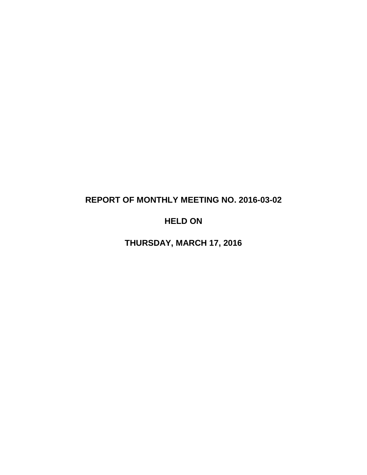# **REPORT OF MONTHLY MEETING NO. 2016-03-02**

# **HELD ON**

**THURSDAY, MARCH 17, 2016**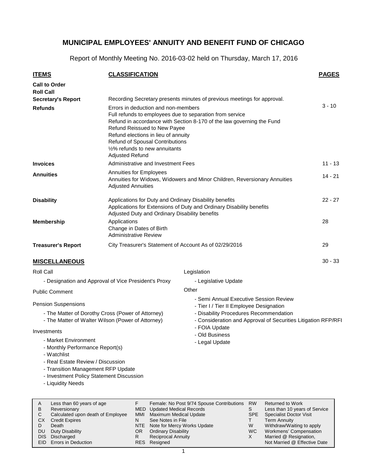Report of Monthly Meeting No. 2016-03-02 held on Thursday, March 17, 2016

| <b>ITEMS</b>                                                                                                                                          | <b>CLASSIFICATION</b>                                                                                                                                                                                                                                                        |                                                                                                                                                                                              | <b>PAGES</b> |
|-------------------------------------------------------------------------------------------------------------------------------------------------------|------------------------------------------------------------------------------------------------------------------------------------------------------------------------------------------------------------------------------------------------------------------------------|----------------------------------------------------------------------------------------------------------------------------------------------------------------------------------------------|--------------|
| <b>Call to Order</b>                                                                                                                                  |                                                                                                                                                                                                                                                                              |                                                                                                                                                                                              |              |
| <b>Roll Call</b>                                                                                                                                      |                                                                                                                                                                                                                                                                              |                                                                                                                                                                                              |              |
| <b>Secretary's Report</b>                                                                                                                             |                                                                                                                                                                                                                                                                              | Recording Secretary presents minutes of previous meetings for approval.                                                                                                                      |              |
| <b>Refunds</b>                                                                                                                                        | Errors in deduction and non-members<br>Full refunds to employees due to separation from service<br>Refund Reissued to New Payee<br>Refund elections in lieu of annuity<br><b>Refund of Spousal Contributions</b><br>1/2% refunds to new annuitants<br><b>Adjusted Refund</b> | Refund in accordance with Section 8-170 of the law governing the Fund                                                                                                                        | $3 - 10$     |
| <b>Invoices</b>                                                                                                                                       | Administrative and Investment Fees                                                                                                                                                                                                                                           |                                                                                                                                                                                              | $11 - 13$    |
| Annuities for Employees<br><b>Annuities</b><br>Annuities for Widows, Widowers and Minor Children, Reversionary Annuities<br><b>Adjusted Annuities</b> |                                                                                                                                                                                                                                                                              |                                                                                                                                                                                              |              |
| <b>Disability</b>                                                                                                                                     | Applications for Duty and Ordinary Disability benefits<br>Applications for Extensions of Duty and Ordinary Disability benefits<br>Adjusted Duty and Ordinary Disability benefits                                                                                             | $22 - 27$                                                                                                                                                                                    |              |
| <b>Membership</b>                                                                                                                                     | Applications<br>Change in Dates of Birth<br><b>Administrative Review</b>                                                                                                                                                                                                     |                                                                                                                                                                                              | 28           |
| <b>Treasurer's Report</b>                                                                                                                             | City Treasurer's Statement of Account As of 02/29/2016                                                                                                                                                                                                                       |                                                                                                                                                                                              | 29           |
| <b>MISCELLANEOUS</b>                                                                                                                                  |                                                                                                                                                                                                                                                                              |                                                                                                                                                                                              | $30 - 33$    |
| Roll Call                                                                                                                                             |                                                                                                                                                                                                                                                                              | Legislation                                                                                                                                                                                  |              |
|                                                                                                                                                       | - Designation and Approval of Vice President's Proxy                                                                                                                                                                                                                         | - Legislative Update                                                                                                                                                                         |              |
| <b>Public Comment</b>                                                                                                                                 |                                                                                                                                                                                                                                                                              | Other                                                                                                                                                                                        |              |
| <b>Pension Suspensions</b>                                                                                                                            | - The Matter of Dorothy Cross (Power of Attorney)<br>- The Matter of Walter Wilson (Power of Attorney)                                                                                                                                                                       | - Semi Annual Executive Session Review<br>- Tier I / Tier II Employee Designation<br>- Disability Procedures Recommendation<br>- Consideration and Approval of Securities Litigation RFP/RFI |              |
| Investments<br>- Market Environment                                                                                                                   |                                                                                                                                                                                                                                                                              | - FOIA Update<br>- Old Business                                                                                                                                                              |              |
| - Monthly Performance Report(s)<br>- Watchlist<br>- Real Estate Review / Discussion<br>- Transition Management RFP Update                             |                                                                                                                                                                                                                                                                              | - Legal Update                                                                                                                                                                               |              |

- Investment Policy Statement Discussion
- Liquidity Needs

| Less than 60 years of age<br>A<br>B<br>Reversionary<br>Calculated upon death of Employee<br><b>CX</b><br><b>Credit Expires</b><br>Death<br>D<br>Duty Disability<br>DU.<br>DIS Discharged<br><b>EID</b> Errors in Deduction | N<br>OR<br>R | Female: No Post 9/74 Spouse Contributions<br><b>MED</b> Updated Medical Records<br>MMI Maximum Medical Update<br>See Notes in File<br>NTE Note for Mercy Works Update<br><b>Ordinary Disability</b><br><b>Reciprocal Annuity</b><br>RES Resigned | <b>RW</b><br>S<br>SPE<br>W<br>WC. | <b>Returned to Work</b><br>Less than 10 years of Service<br><b>Specialist Doctor Visit</b><br><b>Term Annuity</b><br>Withdraw/Waiting to apply<br>Workmens' Compensation<br>Married @ Resignation,<br>Not Married @ Effective Date |
|----------------------------------------------------------------------------------------------------------------------------------------------------------------------------------------------------------------------------|--------------|--------------------------------------------------------------------------------------------------------------------------------------------------------------------------------------------------------------------------------------------------|-----------------------------------|------------------------------------------------------------------------------------------------------------------------------------------------------------------------------------------------------------------------------------|
|----------------------------------------------------------------------------------------------------------------------------------------------------------------------------------------------------------------------------|--------------|--------------------------------------------------------------------------------------------------------------------------------------------------------------------------------------------------------------------------------------------------|-----------------------------------|------------------------------------------------------------------------------------------------------------------------------------------------------------------------------------------------------------------------------------|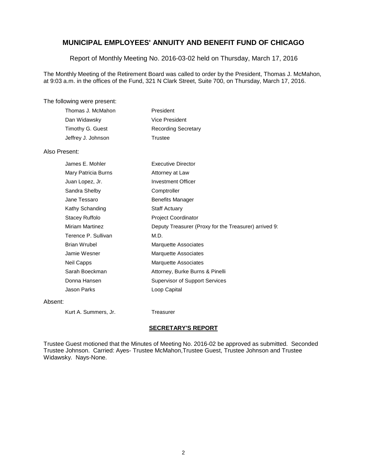Report of Monthly Meeting No. 2016-03-02 held on Thursday, March 17, 2016

The Monthly Meeting of the Retirement Board was called to order by the President, Thomas J. McMahon, at 9:03 a.m. in the offices of the Fund, 321 N Clark Street, Suite 700, on Thursday, March 17, 2016.

#### The following were present:

| Thomas J. McMahon  | President                  |
|--------------------|----------------------------|
| Dan Widawsky       | Vice President             |
| Timothy G. Guest   | <b>Recording Secretary</b> |
| Jeffrey J. Johnson | Trustee                    |

### Also Present:

| James E. Mohler        | <b>Executive Director</b>                             |
|------------------------|-------------------------------------------------------|
| Mary Patricia Burns    | Attorney at Law                                       |
| Juan Lopez, Jr.        | <b>Investment Officer</b>                             |
| Sandra Shelby          | Comptroller                                           |
| Jane Tessaro           | <b>Benefits Manager</b>                               |
| Kathy Schanding        | <b>Staff Actuary</b>                                  |
| <b>Stacey Ruffolo</b>  | <b>Project Coordinator</b>                            |
| <b>Miriam Martinez</b> | Deputy Treasurer (Proxy for the Treasurer) arrived 9: |
| Terence P. Sullivan    | M.D.                                                  |
| <b>Brian Wrubel</b>    | Marquette Associates                                  |
| Jamie Wesner           | Marquette Associates                                  |
| Neil Capps             | <b>Marquette Associates</b>                           |
| Sarah Boeckman         | Attorney, Burke Burns & Pinelli                       |
| Donna Hansen           | <b>Supervisor of Support Services</b>                 |
| Jason Parks            | Loop Capital                                          |
|                        |                                                       |

#### Absent:

Kurt A. Summers, Jr. Treasurer

#### **SECRETARY'S REPORT**

Trustee Guest motioned that the Minutes of Meeting No. 2016-02 be approved as submitted. Seconded Trustee Johnson. Carried: Ayes- Trustee McMahon,Trustee Guest, Trustee Johnson and Trustee Widawsky. Nays-None.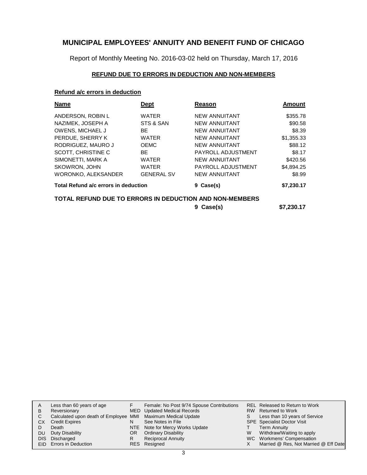Report of Monthly Meeting No. 2016-03-02 held on Thursday, March 17, 2016

### **REFUND DUE TO ERRORS IN DEDUCTION AND NON-MEMBERS**

### **Refund a/c errors in deduction**

| <b>Dept</b>                          | Reason               | <b>Amount</b>                                           |
|--------------------------------------|----------------------|---------------------------------------------------------|
| <b>WATER</b>                         | <b>NEW ANNUITANT</b> | \$355.78                                                |
| STS & SAN                            | <b>NEW ANNUITANT</b> | \$90.58                                                 |
| <b>BE</b>                            | <b>NEW ANNUITANT</b> | \$8.39                                                  |
| <b>WATER</b>                         | <b>NEW ANNUITANT</b> | \$1,355.33                                              |
| <b>OEMC</b>                          | <b>NEW ANNUITANT</b> | \$88.12                                                 |
| <b>BE</b>                            | PAYROLL ADJUSTMENT   | \$8.17                                                  |
| <b>WATER</b>                         | <b>NEW ANNUITANT</b> | \$420.56                                                |
| <b>WATER</b>                         | PAYROLL ADJUSTMENT   | \$4,894.25                                              |
| <b>GENERAL SV</b>                    | <b>NEW ANNUITANT</b> | \$8.99                                                  |
| Total Refund a/c errors in deduction | 9 Case(s)            | \$7,230.17                                              |
|                                      |                      |                                                         |
|                                      | 9 Case(s)            | \$7,230.17                                              |
|                                      |                      | TOTAL REFUND DUE TO ERRORS IN DEDUCTION AND NON-MEMBERS |

| A  | Less than 60 years of age                                    | F   | Female: No Post 9/74 Spouse Contributions |   | REL Released to Return to Work        |
|----|--------------------------------------------------------------|-----|-------------------------------------------|---|---------------------------------------|
| B  | Reversionary                                                 |     | MED Updated Medical Records               |   | RW Returned to Work                   |
|    | Calculated upon death of Employee MMI Maximum Medical Update |     |                                           | S | Less than 10 years of Service         |
| CХ | <b>Credit Expires</b>                                        | N   | See Notes in File                         |   | <b>SPE</b> Specialist Doctor Visit    |
|    | Death                                                        |     | NTE Note for Mercy Works Update           |   | <b>Term Annuity</b>                   |
| DU | Duty Disability                                              | OR. | <b>Ordinary Disability</b>                | W | Withdraw/Waiting to apply             |
|    | DIS Discharged                                               | R   | <b>Reciprocal Annuity</b>                 |   | WC Workmens' Compensation             |
|    | EID Errors in Deduction                                      |     | RES Resigned                              |   | Married @ Res, Not Married @ Eff Date |
|    |                                                              |     |                                           |   |                                       |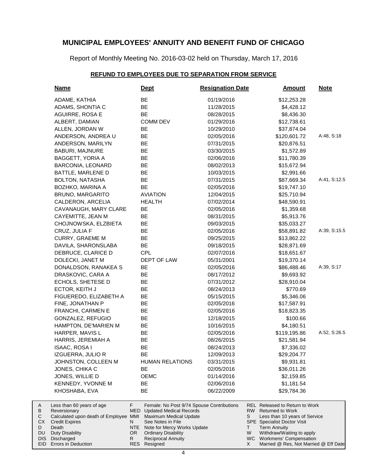Report of Monthly Meeting No. 2016-03-02 held on Thursday, March 17, 2016

### **REFUND TO EMPLOYEES DUE TO SEPARATION FROM SERVICE**

| <u>Name</u>                                           | <b>Dept</b>                                                                      | <b>Resignation Date</b> |          | <b>Amount</b>                                            | <b>Note</b>  |
|-------------------------------------------------------|----------------------------------------------------------------------------------|-------------------------|----------|----------------------------------------------------------|--------------|
| ADAME, KATHIA                                         | BE                                                                               | 01/19/2016              |          | \$12,253.28                                              |              |
| ADAMS, SHONTIA C                                      | BE                                                                               | 11/28/2015              |          | \$4,428.12                                               |              |
| AGUIRRE, ROSA E                                       | <b>BE</b>                                                                        | 08/28/2015              |          | \$8,436.30                                               |              |
| ALBERT, DAMIAN                                        | <b>COMM DEV</b>                                                                  | 01/29/2016              |          | \$12,738.61                                              |              |
| ALLEN, JORDAN W                                       | BE                                                                               | 10/29/2010              |          | \$37,874.04                                              |              |
| ANDERSON, ANDREA U                                    | BE                                                                               | 02/05/2016              |          | \$120,601.72                                             | A:48, S:18   |
| ANDERSON, MARILYN                                     | BE                                                                               | 07/31/2015              |          | \$20,876.51                                              |              |
| <b>BABURI, MAJNURE</b>                                | <b>BE</b>                                                                        | 03/30/2015              |          | \$1,572.89                                               |              |
| <b>BAGGETT, YORIA A</b>                               | BE                                                                               | 02/06/2016              |          | \$11,780.39                                              |              |
| BARCONIA, LEONARD                                     | BE                                                                               | 08/02/2013              |          | \$15,672.94                                              |              |
| BATTLE, MARLENE D                                     | BE                                                                               | 10/03/2015              |          | \$2,991.66                                               |              |
| <b>BOLTON, NATASHA</b>                                | BE                                                                               | 07/31/2015              |          | \$87,669.34                                              | A:41, S:12.5 |
| BOZHKO, MARINA A                                      | BE                                                                               | 02/05/2016              |          | \$19,747.10                                              |              |
| BRUNO, MARGARITO                                      | <b>AVIATION</b>                                                                  | 12/04/2015              |          | \$25,710.94                                              |              |
| CALDERON, ARCELIA                                     | <b>HEALTH</b>                                                                    | 07/02/2014              |          | \$48,590.91                                              |              |
| CAVANAUGH, MARY CLARE                                 | BE                                                                               | 02/05/2016              |          | \$1,359.68                                               |              |
| CAYEMITTE, JEAN M                                     | BE                                                                               | 08/31/2015              |          | \$5,913.76                                               |              |
| CHOJNOWSKA, ELZBIETA                                  | BE                                                                               | 09/03/2015              |          | \$35,033.27                                              |              |
| CRUZ, JULIA F                                         | BE                                                                               | 02/05/2016              |          | \$58,891.82                                              | A:39, S:15.5 |
| <b>CURRY, GRAEME M</b>                                | BE                                                                               | 09/25/2015              |          | \$13,862.22                                              |              |
| DAVILA, SHARONSLABA                                   | BE                                                                               | 09/18/2015              |          | \$28,871.69                                              |              |
| DEBRUCE, CLARICE D                                    | <b>CPL</b>                                                                       | 02/07/2016              |          | \$18,651.67                                              |              |
| DOLECKI, JANET M                                      | DEPT OF LAW                                                                      | 05/31/2001              |          | \$19,370.14                                              |              |
| DONALDSON, RANAKEA S                                  | BE                                                                               | 02/05/2016              |          | \$86,488.46                                              | A:39, S:17   |
| DRASKOVIC, CARA A                                     | BE                                                                               | 08/17/2012              |          | \$9,693.92                                               |              |
| ECHOLS, SHETESE D                                     | BE                                                                               | 07/31/2012              |          | \$28,910.04                                              |              |
| ECTOR, KEITH J                                        | BE                                                                               | 08/24/2013              |          | \$770.69                                                 |              |
| FIGUEREDO, ELIZABETH A                                | BE                                                                               | 05/15/2015              |          | \$5,346.06                                               |              |
| FINE, JONATHAN P                                      | BE                                                                               | 02/05/2016              |          | \$17,587.91                                              |              |
| <b>FRANCHI, CARMEN E</b>                              | BE                                                                               | 02/05/2016              |          | \$18,823.35                                              |              |
| GONZALEZ, REFUGIO                                     | BE                                                                               | 12/18/2015              |          | \$100.66                                                 |              |
| HAMPTON, DE'MARIEN M                                  | BE                                                                               | 10/16/2015              |          | \$4,180.51                                               |              |
| HARPER, MAVIS L                                       | BE                                                                               | 02/05/2016              |          | \$119,195.86                                             | A:52, S:26.5 |
| HARRIS, JEREMIAH A                                    | BE                                                                               | 08/26/2015              |          | \$21,581.94                                              |              |
| ISAAC, ROSA I                                         | BE                                                                               | 08/24/2013              |          | \$7,336.02                                               |              |
| IZGUERRA, JULIO R                                     | BЕ                                                                               | 12/09/2013              |          | \$29,204.77                                              |              |
| JOHNSTON, COLLEEN M                                   | <b>HUMAN RELATIONS</b>                                                           | 03/31/2015              |          | \$9,931.81                                               |              |
| JONES, CHIKA C                                        | BE                                                                               | 02/05/2016              |          | \$36,011.26                                              |              |
| JONES, WILLIE D                                       | <b>OEMC</b>                                                                      | 01/14/2016              |          | \$2,159.85                                               |              |
| KENNEDY, YVONNE M                                     | BЕ                                                                               | 02/06/2016              |          | \$1,181.54                                               |              |
| KHOSHABA, EVA                                         | BЕ                                                                               | 06/22/2009              |          | \$29,784.36                                              |              |
| Less than 60 years of age                             | F.<br>Female: No Post 9/74 Spouse Contributions                                  |                         |          | REL Released to Return to Work                           |              |
| Reversionary<br>Calculated upon death of Employee MMI | <b>MED</b> Updated Medical Records<br>Maximum Medical Update                     |                         | RW.<br>S | <b>Returned to Work</b><br>Less than 10 years of Service |              |
| <b>Credit Expires</b>                                 | See Notes in File<br>N                                                           |                         |          | <b>SPE</b> Specialist Doctor Visit                       |              |
| Death                                                 | NTE<br>Note for Mercy Works Update                                               |                         | Τ        | <b>Term Annuity</b>                                      |              |
| <b>Duty Disability</b><br>Discharged                  | OR <sub>1</sub><br><b>Ordinary Disability</b><br>R.<br><b>Reciprocal Annuity</b> |                         | W        | Withdraw/Waiting to apply<br>WC Workmens' Compensation   |              |

Discharged Errors in Deduction DIS EID

A B C CX D DU

Resigned

RES

Married @ Res, Not Married @ Eff Date

X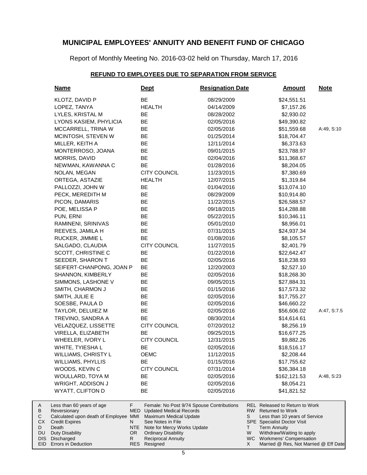Report of Monthly Meeting No. 2016-03-02 held on Thursday, March 17, 2016

### **REFUND TO EMPLOYEES DUE TO SEPARATION FROM SERVICE**

| <b>Name</b>                                                                                                                             | <u>Dept</u>                                                                                                                                                                | <b>Resignation Date</b>                   | <b>Amount</b>                                                                                                                                                                                                      | <u>Note</u> |
|-----------------------------------------------------------------------------------------------------------------------------------------|----------------------------------------------------------------------------------------------------------------------------------------------------------------------------|-------------------------------------------|--------------------------------------------------------------------------------------------------------------------------------------------------------------------------------------------------------------------|-------------|
| KLOTZ, DAVID P                                                                                                                          | BE                                                                                                                                                                         | 08/29/2009                                | \$24,551.51                                                                                                                                                                                                        |             |
| LOPEZ, TANYA                                                                                                                            | <b>HEALTH</b>                                                                                                                                                              | 04/14/2009                                | \$7,157.26                                                                                                                                                                                                         |             |
| LYLES, KRISTAL M                                                                                                                        | <b>BE</b>                                                                                                                                                                  | 08/28/2002                                | \$2,930.02                                                                                                                                                                                                         |             |
| LYONS KASIEM, PHYLICIA                                                                                                                  | BE                                                                                                                                                                         | 02/05/2016                                | \$49,390.82                                                                                                                                                                                                        |             |
| MCCARRELL, TRINA W                                                                                                                      | BE                                                                                                                                                                         | 02/05/2016                                | \$51,559.68                                                                                                                                                                                                        | A:49, S:10  |
| MCINTOSH, STEVEN W                                                                                                                      | <b>BE</b>                                                                                                                                                                  | 01/25/2014                                | \$18,704.47                                                                                                                                                                                                        |             |
| MILLER, KEITH A                                                                                                                         | <b>BE</b>                                                                                                                                                                  | 12/11/2014                                | \$6,373.63                                                                                                                                                                                                         |             |
| MONTERROSO, JOANA                                                                                                                       | <b>BE</b>                                                                                                                                                                  | 09/01/2015                                | \$23,788.97                                                                                                                                                                                                        |             |
| MORRIS, DAVID                                                                                                                           | <b>BE</b>                                                                                                                                                                  | 02/04/2016                                | \$11,368.67                                                                                                                                                                                                        |             |
| NEWMAN, KAWANNA C                                                                                                                       | <b>BE</b>                                                                                                                                                                  | 01/28/2016                                | \$8,204.05                                                                                                                                                                                                         |             |
| NOLAN, MEGAN                                                                                                                            | <b>CITY COUNCIL</b>                                                                                                                                                        | 11/23/2015                                | \$7,380.69                                                                                                                                                                                                         |             |
| ORTEGA, ASTAZIE                                                                                                                         | <b>HEALTH</b>                                                                                                                                                              | 12/07/2015                                | \$1,319.84                                                                                                                                                                                                         |             |
| PALLOZZI, JOHN W                                                                                                                        | BE                                                                                                                                                                         | 01/04/2016                                | \$13,074.10                                                                                                                                                                                                        |             |
| PECK, MEREDITH M                                                                                                                        | BE                                                                                                                                                                         | 08/29/2009                                | \$10,914.80                                                                                                                                                                                                        |             |
| PICON, DAMARIS                                                                                                                          | BE                                                                                                                                                                         | 11/22/2015                                | \$26,588.57                                                                                                                                                                                                        |             |
| POE, MELISSA P                                                                                                                          | BE                                                                                                                                                                         | 09/18/2015                                | \$14,288.88                                                                                                                                                                                                        |             |
| PUN, ERNI                                                                                                                               | <b>BE</b>                                                                                                                                                                  | 05/22/2015                                | \$10,346.11                                                                                                                                                                                                        |             |
| RAMINENI, SRINIVAS                                                                                                                      | <b>BE</b>                                                                                                                                                                  | 05/01/2010                                | \$8,956.01                                                                                                                                                                                                         |             |
| REEVES, JAMILA H                                                                                                                        | <b>BE</b>                                                                                                                                                                  | 07/31/2015                                | \$24,937.34                                                                                                                                                                                                        |             |
| RUCKER, JIMMIE L                                                                                                                        | <b>BE</b>                                                                                                                                                                  | 01/08/2016                                | \$8,105.57                                                                                                                                                                                                         |             |
| SALGADO, CLAUDIA                                                                                                                        | <b>CITY COUNCIL</b>                                                                                                                                                        | 11/27/2015                                | \$2,401.79                                                                                                                                                                                                         |             |
| SCOTT, CHRISTINE C                                                                                                                      | BE                                                                                                                                                                         | 01/22/2016                                | \$22,642.47                                                                                                                                                                                                        |             |
| SEEDER, SHARON T                                                                                                                        | BE                                                                                                                                                                         | 02/05/2016                                | \$18,238.93                                                                                                                                                                                                        |             |
| SEIFERT-CHANPONG, JOAN P                                                                                                                | BE                                                                                                                                                                         | 12/20/2003                                | \$2,527.10                                                                                                                                                                                                         |             |
| SHANNON, KIMBERLY                                                                                                                       | BE                                                                                                                                                                         | 02/05/2016                                | \$18,268.30                                                                                                                                                                                                        |             |
| SIMMONS, LASHONE V                                                                                                                      | <b>BE</b>                                                                                                                                                                  | 09/05/2015                                | \$27,884.31                                                                                                                                                                                                        |             |
| SMITH, CHARMON J                                                                                                                        | <b>BE</b>                                                                                                                                                                  | 01/15/2016                                | \$17,573.32                                                                                                                                                                                                        |             |
| SMITH, JULIE E                                                                                                                          | <b>BE</b>                                                                                                                                                                  | 02/05/2016                                | \$17,755.27                                                                                                                                                                                                        |             |
| SOESBE, PAULA D                                                                                                                         | <b>BE</b>                                                                                                                                                                  | 02/05/2016                                | \$46,660.22                                                                                                                                                                                                        |             |
| TAYLOR, DELUIEZ M                                                                                                                       | <b>BE</b>                                                                                                                                                                  | 02/05/2016                                | \$56,606.02                                                                                                                                                                                                        | A:47, S:7.5 |
| TREVINO, SANDRA A                                                                                                                       | <b>BE</b>                                                                                                                                                                  | 08/30/2014                                | \$14,614.61                                                                                                                                                                                                        |             |
| VELAZQUEZ, LISSETTE                                                                                                                     | <b>CITY COUNCIL</b>                                                                                                                                                        | 07/20/2012                                | \$8,256.19                                                                                                                                                                                                         |             |
| VIRELLA, ELIZABETH                                                                                                                      | BE                                                                                                                                                                         | 09/25/2015                                | \$16,677.25                                                                                                                                                                                                        |             |
| WHEELER, IVORY L                                                                                                                        | <b>CITY COUNCIL</b>                                                                                                                                                        | 12/31/2015                                | \$9,882.26                                                                                                                                                                                                         |             |
| WHITE, TYIESHA L                                                                                                                        | ВE                                                                                                                                                                         | 02/05/2016                                | \$18,516.17                                                                                                                                                                                                        |             |
| WILLIAMS, CHRISTY L                                                                                                                     | <b>OEMC</b>                                                                                                                                                                | 11/12/2015                                | \$2,208.44                                                                                                                                                                                                         |             |
| <b>WILLIAMS, PHYLLIS</b>                                                                                                                | <b>BE</b>                                                                                                                                                                  | 01/15/2016                                | \$17,755.62                                                                                                                                                                                                        |             |
| WOODS, KEVIN C                                                                                                                          | CITY COUNCIL                                                                                                                                                               | 07/31/2014                                | \$36,384.18                                                                                                                                                                                                        |             |
| WOULLARD, TOYA M                                                                                                                        | BE                                                                                                                                                                         | 02/05/2016                                | \$162,121.53                                                                                                                                                                                                       | A:48, S:23  |
| WRIGHT, ADDISON J                                                                                                                       | ВE                                                                                                                                                                         | 02/05/2016                                | \$8,054.21                                                                                                                                                                                                         |             |
| WYATT, CLIFTON D                                                                                                                        | BE                                                                                                                                                                         | 02/05/2016                                | \$41,821.52                                                                                                                                                                                                        |             |
| Less than 60 years of age<br>Reversionary<br>Calculated upon death of Employee MMI<br>Credit Expires<br>Death<br><b>Duty Disability</b> | F.<br>MED<br><b>Updated Medical Records</b><br>Maximum Medical Update<br>See Notes in File<br>N<br>NTE<br>Note for Mercy Works Update<br>OR.<br><b>Ordinary Disability</b> | Female: No Post 9/74 Spouse Contributions | <b>REL Released to Return to Work</b><br>RW  <br><b>Returned to Work</b><br>S<br>Less than 10 years of Service<br><b>SPE</b> Specialist Doctor Visit<br>Τ<br><b>Term Annuity</b><br>Withdraw/Waiting to apply<br>W |             |
| Discharged                                                                                                                              | R.<br><b>Reciprocal Annuity</b>                                                                                                                                            |                                           | WC Workmens' Compensation                                                                                                                                                                                          |             |

Discharged Errors in Deduction DIS EID

A B C CX D DU

5

Resigned

RES

Married @ Res, Not Married @ Eff Date

X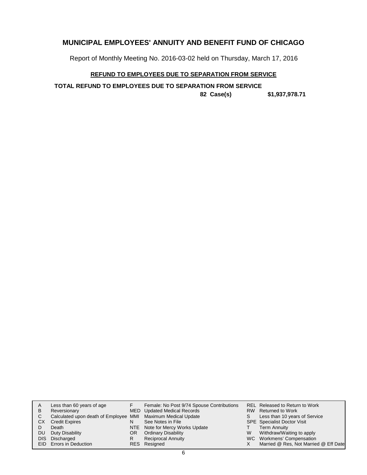Report of Monthly Meeting No. 2016-03-02 held on Thursday, March 17, 2016

### **REFUND TO EMPLOYEES DUE TO SEPARATION FROM SERVICE**

**TOTAL REFUND TO EMPLOYEES DUE TO SEPARATION FROM SERVICE**

**82 Case(s) \$1,937,978.71**

| A   | Less than 60 years of age                                    |     | Female: No Post 9/74 Spouse Contributions |   | REL Released to Return to Work        |
|-----|--------------------------------------------------------------|-----|-------------------------------------------|---|---------------------------------------|
| B   | Reversionary                                                 |     | MED Updated Medical Records               |   | RW Returned to Work                   |
| C.  | Calculated upon death of Employee MMI Maximum Medical Update |     |                                           | S | Less than 10 years of Service         |
| СX  | <b>Credit Expires</b>                                        | N   | See Notes in File                         |   | <b>SPE</b> Specialist Doctor Visit    |
|     | Death                                                        |     | NTE Note for Mercy Works Update           |   | Term Annuity                          |
| DU. | Duty Disability                                              | OR. | <b>Ordinary Disability</b>                | W | Withdraw/Waiting to apply             |
|     | DIS Discharged                                               | R   | <b>Reciprocal Annuity</b>                 |   | WC Workmens' Compensation             |
|     | EID Errors in Deduction                                      |     | RES Resigned                              |   | Married @ Res, Not Married @ Eff Date |
|     |                                                              |     |                                           |   |                                       |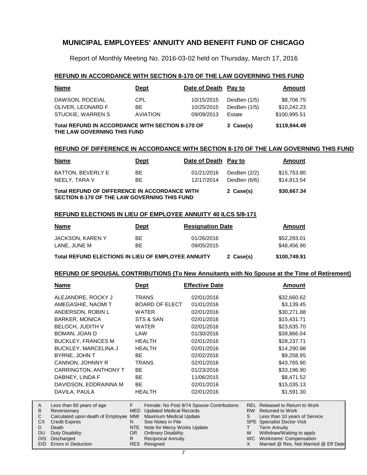Report of Monthly Meeting No. 2016-03-02 held on Thursday, March 17, 2016

#### **REFUND IN ACCORDANCE WITH SECTION 8-170 OF THE LAW GOVERNING THIS FUND**

| <b>Name</b>                                                                            | <b>Dept</b>     | Date of Death Pay to |                | Amount       |
|----------------------------------------------------------------------------------------|-----------------|----------------------|----------------|--------------|
| DAWSON, ROCEIAL                                                                        | <b>CPL</b>      | 10/15/2015           | DesBen $(1/5)$ | \$8,706.75   |
| OLIVER, LEONARD F                                                                      | BE.             | 10/25/2015           | DesBen (1/5)   | \$10,242.23  |
| STUCKIE, WARREN S                                                                      | <b>AVIATION</b> | 09/09/2013           | Estate         | \$100,995.51 |
| <b>Total REFUND IN ACCORDANCE WITH SECTION 8-170 OF</b><br>THE LAW GOVERNING THIS FUND |                 |                      | 3 Case(s)      | \$119,944.49 |

#### **REFUND OF DIFFERENCE IN ACCORDANCE WITH SECTION 8-170 OF THE LAW GOVERNING THIS FUND**

| <b>Name</b>                                                                                          | <b>Dept</b> | Date of Death Pay to     |                              | Amount                     |
|------------------------------------------------------------------------------------------------------|-------------|--------------------------|------------------------------|----------------------------|
| BATTON, BEVERLY E<br>NEELY, TARA V                                                                   | BE.<br>BE.  | 01/21/2016<br>12/17/2014 | DesBen (2/2)<br>DesBen (6/6) | \$15,753.80<br>\$14,913.54 |
| Total REFUND OF DIFFERENCE IN ACCORDANCE WITH<br><b>SECTION 8-170 OF THE LAW GOVERNING THIS FUND</b> |             |                          | 2 Case(s)                    | \$30,667.34                |

#### **REFUND ELECTIONS IN LIEU OF EMPLOYEE ANNUITY 40 ILCS 5/8-171**

| <b>Name</b>                                        | Dept | <b>Resignation Date</b> | Amount       |
|----------------------------------------------------|------|-------------------------|--------------|
| JACKSON, KAREN Y                                   | BЕ   | 01/26/2016              | \$52,293,01  |
| LANE. JUNE M                                       | ВF   | 09/05/2015              | \$48,456,90  |
| Total REFUND ELECTIONS IN LIEU OF EMPLOYEE ANNUITY |      | 2 Case(s)               | \$100,749.91 |

#### **REFUND OF SPOUSAL CONTRIBUTIONS (To New Annuitants with No Spouse at the Time of Retirement)**

|              | <b>Name</b>                               | <u>Dept</u> |                                | <b>Effective Date</b>                     |           | Amount                             |  |
|--------------|-------------------------------------------|-------------|--------------------------------|-------------------------------------------|-----------|------------------------------------|--|
|              | ALEJANDRE, ROCKY J                        |             | <b>TRANS</b>                   | 02/01/2016                                |           | \$32,660.62                        |  |
|              | AMEGASHIE, NAOMIT                         |             | <b>BOARD OF ELECT</b>          | 01/01/2016                                |           | \$3,139.45                         |  |
|              | ANDERSON, ROBIN L                         |             | <b>WATER</b>                   | 02/01/2016                                |           | \$30,271.88                        |  |
|              | <b>BARKER, MONICA</b>                     |             | STS & SAN                      | 02/01/2016                                |           | \$15,431.71                        |  |
|              | BELOCH, JUDITH V                          |             | <b>WATER</b>                   | 02/01/2016                                |           | \$23,635.70                        |  |
|              | BOMAN, JOAN D                             | LAW         |                                | 01/30/2016                                |           | \$39,866.04                        |  |
|              | <b>BUCKLEY, FRANCES M</b>                 |             | <b>HEALTH</b>                  | 02/01/2016                                |           | \$28,237.71                        |  |
|              | <b>BUCKLEY, MARCELINA J</b>               |             | <b>HEALTH</b>                  | 02/01/2016                                |           | \$14,290.98                        |  |
|              | BYRNE, JOHN T                             | BE.         |                                | 02/02/2016                                |           | \$9,258.95                         |  |
|              | CANNON, JOHNNY R                          |             | <b>TRANS</b>                   | 02/01/2016                                |           | \$43,765.90                        |  |
|              | CARRINGTON, ANTHONY T                     | BE          |                                | 01/23/2016                                |           | \$33,196.90                        |  |
|              | DABNEY, LINDA F                           | BE.         |                                | 11/06/2015                                |           | \$8,471.52                         |  |
|              | DAVIDSON, EDDRAINNA M                     | BE          |                                | 02/01/2016                                |           | \$15,035.13                        |  |
|              | DAVILA, PAULA                             |             | <b>HEALTH</b>                  | 02/01/2016                                |           | \$1,591.30                         |  |
|              |                                           | F.          |                                |                                           |           | REL Released to Return to Work     |  |
| A<br>В       | Less than 60 years of age<br>Reversionary | <b>MED</b>  | <b>Updated Medical Records</b> | Female: No Post 9/74 Spouse Contributions | <b>RW</b> | <b>Returned to Work</b>            |  |
| $\mathsf{C}$ | Calculated upon death of Employee         | MMI         | Maximum Medical Update         |                                           | S.        | Less than 10 years of Service      |  |
| CX.          | <b>Credit Expires</b>                     | N.          | See Notes in File              |                                           |           | <b>SPE</b> Specialist Doctor Visit |  |
| D            | Death                                     | <b>NTE</b>  | Note for Mercy Works Update    |                                           | T.        | <b>Term Annuity</b>                |  |
| <b>DU</b>    | Duty Disability                           | OR.         | <b>Ordinary Disability</b>     |                                           | W<br>WC.  | Withdraw/Waiting to apply          |  |
| DIS.         | Discharged                                | R.          | Reciprocal Annuity             |                                           |           | Workmens' Compensation             |  |

Resigned

RES

Married @ Res, Not Married @ Eff Date

X

EID Errors in Deduction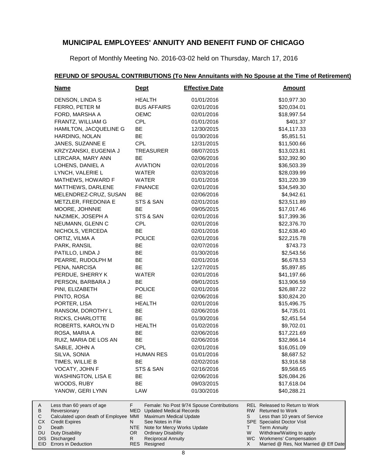Report of Monthly Meeting No. 2016-03-02 held on Thursday, March 17, 2016

### **REFUND OF SPOUSAL CONTRIBUTIONS (To New Annuitants with No Spouse at the Time of Retirement)**

| <b>Name</b>               | <u>Dept</u>        | <b>Effective Date</b>                     | <b>Amount</b>                  |
|---------------------------|--------------------|-------------------------------------------|--------------------------------|
| DENSON, LINDA S           | <b>HEALTH</b>      | 01/01/2016                                | \$10,977.30                    |
| FERRO, PETER M            | <b>BUS AFFAIRS</b> | 02/01/2016                                | \$20,034.01                    |
| FORD, MARSHA A            | <b>OEMC</b>        | 02/01/2016                                | \$18,997.54                    |
| FRANTZ, WILLIAM G         | <b>CPL</b>         | 01/01/2016                                | \$401.37                       |
| HAMILTON, JACQUELINE G    | BE                 | 12/30/2015                                | \$14,117.33                    |
| HARDING, NOLAN            | <b>BE</b>          | 01/30/2016                                | \$5,851.51                     |
| JANES, SUZANNE E          | <b>CPL</b>         | 12/31/2015                                | \$11,500.66                    |
| KRZYZANSKI, EUGENIA J     | <b>TREASURER</b>   | 08/07/2015                                | \$13,023.81                    |
| LERCARA, MARY ANN         | BE                 | 02/06/2016                                | \$32,392.90                    |
| LOHENS, DANIEL A          | <b>AVIATION</b>    | 02/01/2016                                | \$36,503.39                    |
| LYNCH, VALERIE L          | WATER              | 02/03/2016                                | \$28,039.99                    |
| MATHEWS, HOWARD F         | WATER              | 01/01/2016                                | \$31,220.39                    |
| MATTHEWS, DARLENE         | <b>FINANCE</b>     | 02/01/2016                                | \$34,549.30                    |
| MELENDREZ-CRUZ, SUSAN     | BE                 | 02/06/2016                                | \$4,942.61                     |
| METZLER, FREDONIA E       | STS & SAN          | 02/01/2016                                | \$23,511.89                    |
| MOORE, JOHNNIE            | BE                 | 09/05/2015                                | \$17,017.46                    |
| NAZIMEK, JOSEPH A         | STS & SAN          | 02/01/2016                                | \$17,399.36                    |
| NEUMANN, GLENN C          | <b>CPL</b>         | 02/01/2016                                | \$22,376.70                    |
| NICHOLS, VERCEDA          | BE                 | 02/01/2016                                | \$12,638.40                    |
| ORTIZ, VILMA A            | <b>POLICE</b>      | 02/01/2016                                | \$22,215.78                    |
| PARK, RANSIL              | BE                 | 02/07/2016                                | \$743.73                       |
| PATILLO, LINDA J          | BE                 | 01/30/2016                                | \$2,543.56                     |
| PEARRE, RUDOLPH M         | BE                 | 02/01/2016                                | \$6,678.53                     |
| PENA, NARCISA             | BE                 | 12/27/2015                                | \$5,897.85                     |
| PERDUE, SHERRY K          | WATER              | 02/01/2016                                | \$41,197.66                    |
| PERSON, BARBARA J         | BE                 | 09/01/2015                                | \$13,906.59                    |
| PINI, ELIZABETH           | <b>POLICE</b>      | 02/01/2016                                | \$26,887.22                    |
| PINTO, ROSA               | <b>BE</b>          | 02/06/2016                                | \$30,824.20                    |
| PORTER, LISA              | <b>HEALTH</b>      | 02/01/2016                                | \$15,496.75                    |
| RANSOM, DOROTHY L         | BE                 | 02/06/2016                                | \$4,735.01                     |
| RICKS, CHARLOTTE          | BE                 | 01/30/2016                                | \$2,451.54                     |
| ROBERTS, KAROLYN D        | <b>HEALTH</b>      | 01/02/2016                                | \$9,702.01                     |
| ROSA, MARIA A             | BE                 | 02/06/2016                                | \$17,221.69                    |
| RUIZ, MARIA DE LOS AN     | BE                 | 02/06/2016                                | \$32,866.14                    |
| SABLE, JOHN A             | <b>CPL</b>         | 02/01/2016                                | \$16,051.09                    |
| SILVA, SONIA              | <b>HUMAN RES</b>   | 01/01/2016                                | \$8,687.52                     |
| TIMES, WILLIE B           | BE                 | 02/02/2016                                | \$3,916.58                     |
| VOCATY, JOHN F            | STS & SAN          | 02/16/2016                                | \$9,568.65                     |
| <b>WASHINGTON, LISA E</b> | ВE                 | 02/06/2016                                | \$26,084.26                    |
| WOODS, RUBY               | BE                 | 09/03/2015                                | \$17,618.04                    |
| YANOW, GERI LYNN          | LAW                | 01/30/2016                                | \$40,288.21                    |
| Less than 60 years of age | F                  | Female: No Post 9/74 Spouse Contributions | REL Released to Return to Work |

| A   | Less than 60 years of age                                    |     | Female: No Post 9/74 Spouse Contributions |    | REL Released to Return to Work        |
|-----|--------------------------------------------------------------|-----|-------------------------------------------|----|---------------------------------------|
| B   | Reversionary                                                 |     | MED Updated Medical Records               |    | RW Returned to Work                   |
|     | Calculated upon death of Employee MMI Maximum Medical Update |     |                                           | S. | Less than 10 years of Service         |
| CX. | <b>Credit Expires</b>                                        |     | See Notes in File                         |    | <b>SPE</b> Specialist Doctor Visit    |
|     | Death                                                        |     | NTE Note for Mercy Works Update           |    | Term Annuity                          |
|     | DU Duty Disability                                           | OR. | <b>Ordinary Disability</b>                | W  | Withdraw/Waiting to apply             |
|     | DIS Discharged                                               |     | <b>Reciprocal Annuity</b>                 |    | WC Workmens' Compensation             |
|     | EID Errors in Deduction                                      |     | RES Resigned                              |    | Married @ Res, Not Married @ Eff Date |
|     |                                                              |     |                                           |    |                                       |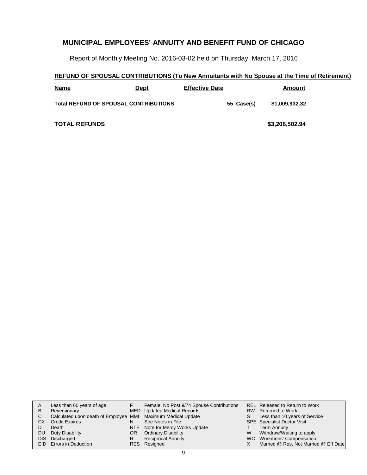Report of Monthly Meeting No. 2016-03-02 held on Thursday, March 17, 2016

### **REFUND OF SPOUSAL CONTRIBUTIONS (To New Annuitants with No Spouse at the Time of Retirement)**

| <b>Name</b>                                  | Dept | <b>Effective Date</b> |            | Amount         |
|----------------------------------------------|------|-----------------------|------------|----------------|
| <b>Total REFUND OF SPOUSAL CONTRIBUTIONS</b> |      |                       | 55 Case(s) | \$1,009,932.32 |
| <b>TOTAL REFUNDS</b>                         |      |                       |            | \$3,206,502.94 |

| A   | Less than 60 years of age                                    |     | Female: No Post 9/74 Spouse Contributions |   | <b>REL Released to Return to Work</b> |
|-----|--------------------------------------------------------------|-----|-------------------------------------------|---|---------------------------------------|
| в   | Reversionary                                                 |     | MED Updated Medical Records               |   | RW Returned to Work                   |
| С   | Calculated upon death of Employee MMI Maximum Medical Update |     |                                           | S | Less than 10 years of Service         |
| CХ  | <b>Credit Expires</b>                                        | N   | See Notes in File                         |   | <b>SPE</b> Specialist Doctor Visit    |
|     | Death                                                        |     | NTE Note for Mercy Works Update           |   | <b>Term Annuity</b>                   |
| DU  | Duty Disability                                              | OR. | <b>Ordinary Disability</b>                | W | Withdraw/Waiting to apply             |
| DIS | Discharged                                                   | R   | <b>Reciprocal Annuity</b>                 |   | WC Workmens' Compensation             |
|     | <b>EID</b> Errors in Deduction                               |     | RES Resigned                              |   | Married @ Res, Not Married @ Eff Date |
|     |                                                              |     |                                           |   |                                       |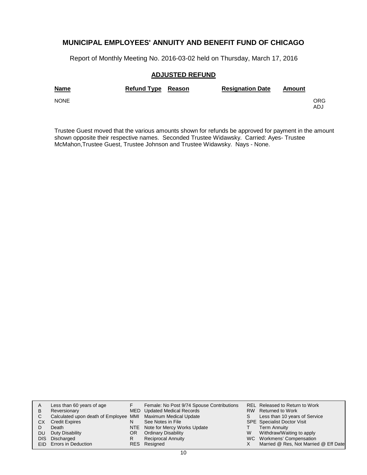Report of Monthly Meeting No. 2016-03-02 held on Thursday, March 17, 2016

### **ADJUSTED REFUND**

| <b>Name</b> | Refund Type Reason | <b>Resignation Date</b> | Amount |             |
|-------------|--------------------|-------------------------|--------|-------------|
| <b>NONE</b> |                    |                         |        | ORG.<br>ADJ |

Trustee Guest moved that the various amounts shown for refunds be approved for payment in the amount shown opposite their respective names. Seconded Trustee Widawsky. Carried: Ayes- Trustee McMahon,Trustee Guest, Trustee Johnson and Trustee Widawsky. Nays - None.

| A  | Less than 60 years of age                                    |    | Female: No Post 9/74 Spouse Contributions |   | REL Released to Return to Work        |
|----|--------------------------------------------------------------|----|-------------------------------------------|---|---------------------------------------|
| B  | Reversionary                                                 |    | MED Updated Medical Records               |   | RW Returned to Work                   |
| C. | Calculated upon death of Employee MMI Maximum Medical Update |    |                                           | S | Less than 10 years of Service         |
| СX | <b>Credit Expires</b>                                        | N  | See Notes in File                         |   | <b>SPE</b> Specialist Doctor Visit    |
|    | Death                                                        |    | NTE Note for Mercy Works Update           |   | <b>Term Annuity</b>                   |
| DU | Duty Disability                                              | OR | <b>Ordinary Disability</b>                | W | Withdraw/Waiting to apply             |
|    | DIS Discharged                                               | R  | <b>Reciprocal Annuity</b>                 |   | WC Workmens' Compensation             |
|    | EID Errors in Deduction                                      |    | RES Resigned                              |   | Married @ Res, Not Married @ Eff Date |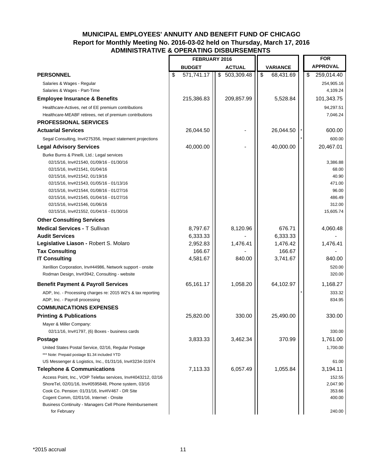### **MUNICIPAL EMPLOYEES' ANNUITY AND BENEFIT FUND OF CHICAGO Report for Monthly Meeting No. 2016-03-02 held on Thursday, March 17, 2016 ADMINISTRATIVE & OPERATING DISBURSEMENTS**

|                                                                                                                                                                                                                                                                                                                                                                            | FEBRUARY 2016      |                  |        |               |                    |    | <b>FOR</b>                                                                     |
|----------------------------------------------------------------------------------------------------------------------------------------------------------------------------------------------------------------------------------------------------------------------------------------------------------------------------------------------------------------------------|--------------------|------------------|--------|---------------|--------------------|----|--------------------------------------------------------------------------------|
|                                                                                                                                                                                                                                                                                                                                                                            | <b>BUDGET</b>      | <b>ACTUAL</b>    |        |               | <b>VARIANCE</b>    |    | <b>APPROVAL</b>                                                                |
| <b>PERSONNEL</b>                                                                                                                                                                                                                                                                                                                                                           | \$<br>571,741.17   | \$<br>503,309.48 |        | $\frac{1}{2}$ | 68,431.69          | \$ | 259,014.40                                                                     |
| Salaries & Wages - Regular                                                                                                                                                                                                                                                                                                                                                 |                    |                  |        |               |                    |    | 254,905.16                                                                     |
| Salaries & Wages - Part-Time                                                                                                                                                                                                                                                                                                                                               |                    |                  |        |               |                    |    | 4,109.24                                                                       |
| <b>Employee Insurance &amp; Benefits</b>                                                                                                                                                                                                                                                                                                                                   | 215,386.83         | 209,857.99       |        |               | 5,528.84           |    | 101,343.75                                                                     |
| Healthcare-Actives, net of EE premium contributions                                                                                                                                                                                                                                                                                                                        |                    |                  |        |               |                    |    | 94,297.51                                                                      |
| Healthcare-MEABF retirees, net of premium contributions                                                                                                                                                                                                                                                                                                                    |                    |                  |        |               |                    |    | 7,046.24                                                                       |
| <b>PROFESSIONAL SERVICES</b>                                                                                                                                                                                                                                                                                                                                               |                    |                  |        |               |                    |    |                                                                                |
| <b>Actuarial Services</b>                                                                                                                                                                                                                                                                                                                                                  | 26,044.50          |                  |        |               | 26,044.50          |    | 600.00                                                                         |
| Segal Consulting, Inv#275356, Impact statement projections                                                                                                                                                                                                                                                                                                                 |                    |                  |        |               |                    |    | 600.00                                                                         |
| <b>Legal Advisory Services</b>                                                                                                                                                                                                                                                                                                                                             | 40,000.00          |                  |        |               | 40,000.00          |    | 20,467.01                                                                      |
| Burke Burns & Pinelli, Ltd.: Legal services<br>02/15/16, Inv#21540, 01/09/16 - 01/30/16<br>02/15/16, Inv#21541, 01/04/16<br>02/15/16, Inv#21542, 01/19/16<br>02/15/16, Inv#21543, 01/05/16 - 01/13/16<br>02/15/16, Inv#21544, 01/08/16 - 01/27/16<br>02/15/16, Inv#21545, 01/04/16 - 01/27/16<br>02/15/16, Inv#21546, 01/06/16<br>02/15/16, Inv#21552, 01/04/16 - 01/30/16 |                    |                  |        |               |                    |    | 3,386.88<br>68.00<br>40.90<br>471.00<br>96.00<br>486.49<br>312.00<br>15,605.74 |
| <b>Other Consulting Services</b>                                                                                                                                                                                                                                                                                                                                           |                    |                  |        |               |                    |    |                                                                                |
| <b>Medical Services - T Sullivan</b>                                                                                                                                                                                                                                                                                                                                       | 8,797.67           | 8,120.96         |        |               | 676.71             |    | 4,060.48                                                                       |
| <b>Audit Services</b>                                                                                                                                                                                                                                                                                                                                                      | 6,333.33           |                  |        |               | 6,333.33           |    |                                                                                |
| Legislative Liason - Robert S. Molaro                                                                                                                                                                                                                                                                                                                                      | 2,952.83           | 1,476.41         |        |               | 1,476.42           |    | 1,476.41                                                                       |
| <b>Tax Consulting</b><br><b>IT Consulting</b>                                                                                                                                                                                                                                                                                                                              | 166.67<br>4,581.67 |                  | 840.00 |               | 166.67<br>3,741.67 |    | 840.00                                                                         |
| Xerillion Corporation, Inv#44986, Network support - onsite<br>Rodman Design, Inv#3942, Consulting - website                                                                                                                                                                                                                                                                |                    |                  |        |               |                    |    | 520.00<br>320.00                                                               |
| <b>Benefit Payment &amp; Payroll Services</b>                                                                                                                                                                                                                                                                                                                              | 65,161.17          | 1,058.20         |        |               | 64,102.97          |    | 1,168.27                                                                       |
| ADP, Inc. - Processing charges re: 2015 W2's & tax reporting<br>ADP, Inc. - Payroll processing<br><b>COMMUNICATIONS EXPENSES</b>                                                                                                                                                                                                                                           |                    |                  |        |               |                    |    | 333.32<br>834.95                                                               |
| <b>Printing &amp; Publications</b>                                                                                                                                                                                                                                                                                                                                         | 25,820.00          |                  | 330.00 |               | 25,490.00          |    | 330.00                                                                         |
| Mayer & Miller Company:<br>02/11/16, Inv#1797, (6) Boxes - business cards                                                                                                                                                                                                                                                                                                  |                    |                  |        |               |                    |    | 330.00                                                                         |
| <b>Postage</b>                                                                                                                                                                                                                                                                                                                                                             | 3,833.33           | 3,462.34         |        |               | 370.99             |    | 1,761.00                                                                       |
| United States Postal Service, 02/16, Regular Postage<br>*** Note: Prepaid postage \$1.34 included YTD<br>US Messenger & Logistics, Inc., 01/31/16, Inv#3234-31974                                                                                                                                                                                                          |                    |                  |        |               |                    |    | 1,700.00<br>61.00                                                              |
| <b>Telephone &amp; Communications</b>                                                                                                                                                                                                                                                                                                                                      | 7,113.33           | 6,057.49         |        |               | 1,055.84           |    | 3,194.11                                                                       |
| Access Point, Inc., VOIP Telefax services, Inv#4043212, 02/16<br>ShoreTel, 02/01/16, Inv#0595848, Phone system, 03/16<br>Cook Co. Pension: 01/31/16, Inv#IV467 - DR Site<br>Cogent Comm, 02/01/16, Internet - Onsite<br><b>Business Continuity - Managers Cell Phone Reimbursement</b><br>for February                                                                     |                    |                  |        |               |                    |    | 152.55<br>2,047.90<br>353.66<br>400.00<br>240.00                               |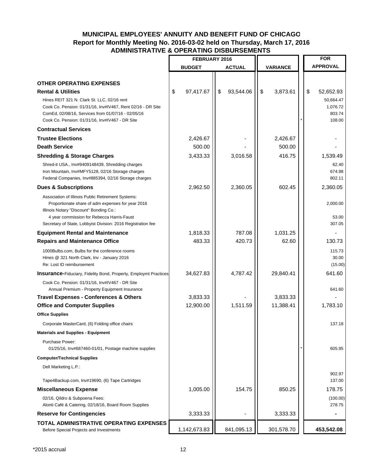### **MUNICIPAL EMPLOYEES' ANNUITY AND BENEFIT FUND OF CHICAGO Report for Monthly Meeting No. 2016-03-02 held on Thursday, March 17, 2016 ADMINISTRATIVE & OPERATING DISBURSEMENTS**

|                                                                                                         | FEBRUARY 2016   |                 | <b>FOR</b>      |                              |
|---------------------------------------------------------------------------------------------------------|-----------------|-----------------|-----------------|------------------------------|
|                                                                                                         | <b>BUDGET</b>   | <b>ACTUAL</b>   | <b>VARIANCE</b> | <b>APPROVAL</b>              |
|                                                                                                         |                 |                 |                 |                              |
| <b>OTHER OPERATING EXPENSES</b>                                                                         |                 |                 |                 |                              |
| <b>Rental &amp; Utilities</b><br>Hines REIT 321 N. Clark St. LLC, 02/16 rent                            | \$<br>97,417.67 | \$<br>93,544.06 | \$<br>3,873.61  | \$<br>52,652.93<br>50,664.47 |
| Cook Co. Pension: 01/31/16, Inv#IV467, Rent 02/16 - DR Site                                             |                 |                 |                 | 1,076.72                     |
| ComEd, 02/08/16, Services from 01/07/16 - 02/05/16<br>Cook Co. Pension: 01/31/16, Inv#IV467 - DR Site   |                 |                 |                 | 803.74<br>108.00             |
| <b>Contractual Services</b>                                                                             |                 |                 |                 |                              |
| <b>Trustee Elections</b>                                                                                | 2,426.67        |                 | 2,426.67        |                              |
| <b>Death Service</b>                                                                                    | 500.00          |                 | 500.00          |                              |
| <b>Shredding &amp; Storage Charges</b>                                                                  | 3,433.33        | 3,016.58        | 416.75          | 1,539.49                     |
| Shred-it USA., Inv#9409148439, Shredding charges                                                        |                 |                 |                 | 62.40                        |
| Iron Mountain, Inv#MFY5128, 02/16 Storage charges                                                       |                 |                 |                 | 674.98                       |
| Federal Companies, Inv#885394, 02/16 Storage charges                                                    |                 |                 |                 | 802.11                       |
| <b>Dues &amp; Subscriptions</b>                                                                         | 2,962.50        | 2,360.05        | 602.45          | 2,360.05                     |
| Association of Illinois Public Retirement Systems:<br>Proportionate share of adm expenses for year 2016 |                 |                 |                 | 2,000.00                     |
| Illinois Notary "Discount" Bonding Co.:                                                                 |                 |                 |                 |                              |
| 4 year commission for Rebecca Harris-Faust                                                              |                 |                 |                 | 53.00                        |
| Secretary of State, Lobbyist Division: 2016 Registration fee                                            |                 |                 |                 | 307.05                       |
| <b>Equipment Rental and Maintenance</b>                                                                 | 1,818.33        | 787.08          | 1,031.25        |                              |
| <b>Repairs and Maintenance Office</b>                                                                   | 483.33          | 420.73          | 62.60           | 130.73                       |
| 1000Bulbs.com, Bulbs for the conference rooms<br>Hines @ 321 North Clark, Inv - January 2016            |                 |                 |                 | 115.73<br>30.00              |
| Re: Lost ID reimbursement                                                                               |                 |                 |                 | (15.00)                      |
| <b>Insurance-Fiduciary, Fidelity Bond, Property, Employmt Practices</b>                                 | 34,627.83       | 4,787.42        | 29,840.41       | 641.60                       |
| Cook Co. Pension: 01/31/16, Inv#IV467 - DR Site                                                         |                 |                 |                 |                              |
| Annual Premium - Property Equipment Insurance                                                           |                 |                 |                 | 641.60                       |
| <b>Travel Expenses - Conferences &amp; Others</b>                                                       | 3,833.33        |                 | 3,833.33        |                              |
| <b>Office and Computer Supplies</b>                                                                     | 12,900.00       | 1,511.59        | 11,388.41       | 1,783.10                     |
| <b>Office Supplies</b>                                                                                  |                 |                 |                 |                              |
| Corporate MasterCard, (6) Folding office chairs                                                         |                 |                 |                 | 137.18                       |
| <b>Materials and Supplies - Equipment</b>                                                               |                 |                 |                 |                              |
| Purchase Power:<br>01/25/16, Inv#687460-01/01, Postage machine supplies                                 |                 |                 |                 | 605.95                       |
| <b>Computer/Technical Supplies</b>                                                                      |                 |                 |                 |                              |
| Dell Marketing L.P.:                                                                                    |                 |                 |                 |                              |
|                                                                                                         |                 |                 |                 | 902.97<br>137.00             |
| Tape4Backup.com, Inv#19690, (6) Tape Cartridges                                                         | 1,005.00        | 154.75          | 850.25          | 178.75                       |
| <b>Miscellaneous Expense</b>                                                                            |                 |                 |                 |                              |
| 02/16, Qildro & Subpoena Fees:<br>Alonti Café & Catering, 02/18/16, Board Room Supplies                 |                 |                 |                 | (100.00)<br>278.75           |
| <b>Reserve for Contingencies</b>                                                                        | 3,333.33        |                 | 3,333.33        |                              |
| TOTAL ADMINISTRATIVE OPERATING EXPENSES                                                                 |                 |                 |                 |                              |
| Before Special Projects and Investments                                                                 | 1,142,673.83    | 841,095.13      | 301,578.70      | 453,542.08                   |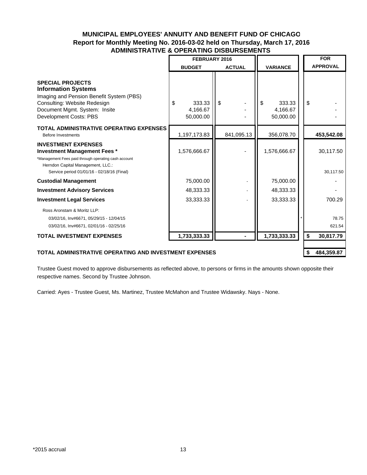### **MUNICIPAL EMPLOYEES' ANNUITY AND BENEFIT FUND OF CHICAGO Report for Monthly Meeting No. 2016-03-02 held on Thursday, March 17, 2016 ADMINISTRATIVE & OPERATING DISBURSEMENTS**

|                                                                                                                                                                                                              | FEBRUARY 2016                         |               | <b>FOR</b>                            |                        |
|--------------------------------------------------------------------------------------------------------------------------------------------------------------------------------------------------------------|---------------------------------------|---------------|---------------------------------------|------------------------|
|                                                                                                                                                                                                              | <b>BUDGET</b>                         | <b>ACTUAL</b> | <b>VARIANCE</b>                       | <b>APPROVAL</b>        |
| <b>SPECIAL PROJECTS</b><br><b>Information Systems</b><br>Imaging and Pension Benefit System (PBS)<br>Consulting: Website Redesign<br>Document Mgmt. System: Insite<br>Development Costs: PBS                 | \$<br>333.33<br>4,166.67<br>50,000.00 | \$            | \$<br>333.33<br>4,166.67<br>50,000.00 | \$                     |
| <b>TOTAL ADMINISTRATIVE OPERATING EXPENSES</b><br><b>Before Investments</b>                                                                                                                                  | 1,197,173.83                          | 841,095.13    | 356,078.70                            | 453,542.08             |
| <b>INVESTMENT EXPENSES</b><br><b>Investment Management Fees *</b><br>*Management Fees paid through operating cash account<br>Herndon Capital Management, LLC.:<br>Service period 01/01/16 - 02/18/16 (Final) | 1,576,666.67                          |               | 1,576,666.67                          | 30,117.50<br>30,117.50 |
| <b>Custodial Management</b>                                                                                                                                                                                  | 75,000.00                             |               | 75,000.00                             |                        |
| <b>Investment Advisory Services</b>                                                                                                                                                                          | 48,333.33                             |               | 48,333.33                             |                        |
| <b>Investment Legal Services</b>                                                                                                                                                                             | 33,333.33                             |               | 33,333.33                             | 700.29                 |
| Ross Aronstam & Moritz LLP:<br>03/02/16, Inv#6671, 05/29/15 - 12/04/15<br>03/02/16, Inv#6671, 02/01/16 - 02/25/16                                                                                            |                                       |               |                                       | 78.75<br>621.54        |
| <b>TOTAL INVESTMENT EXPENSES</b>                                                                                                                                                                             | 1,733,333.33                          |               | 1,733,333.33                          | \$<br>30,817.79        |
| <b>TOTAL ADMINISTRATIVE OPERATING AND INVESTMENT EXPENSES</b>                                                                                                                                                |                                       |               |                                       | \$<br>484,359.87       |

Trustee Guest moved to approve disbursements as reflected above, to persons or firms in the amounts shown opposite their respective names. Second by Trustee Johnson.

Carried: Ayes - Trustee Guest, Ms. Martinez, Trustee McMahon and Trustee Widawsky. Nays - None.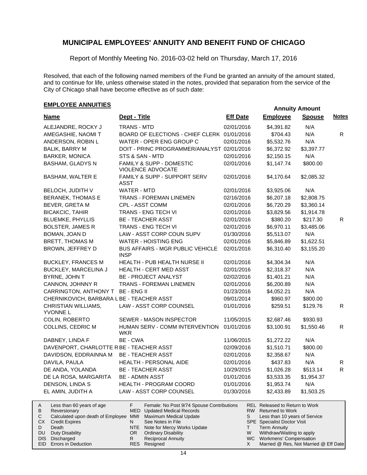Report of Monthly Meeting No. 2016-03-02 held on Thursday, March 17, 2016

Resolved, that each of the following named members of the Fund be granted an annuity of the amount stated, and to continue for life, unless otherwise stated in the notes, provided that separation from the service of the City of Chicago shall have become effective as of such date:

# **EMPLOYEE ANNUITIES**

| <b>Name</b>                                         | Dept - Title                                                                         | <b>Eff Date</b> | <b>Employee</b>                                           | <b>Spouse</b> | <b>Notes</b> |
|-----------------------------------------------------|--------------------------------------------------------------------------------------|-----------------|-----------------------------------------------------------|---------------|--------------|
| ALEJANDRE, ROCKY J                                  | <b>TRANS - MTD</b>                                                                   | 02/01/2016      | \$4,391.82                                                | N/A           |              |
| AMEGASHIE, NAOMI T                                  | BOARD OF ELECTIONS - CHIEF CLERK 01/01/2016                                          |                 | \$704.43                                                  | N/A           | ${\sf R}$    |
| ANDERSON, ROBIN L                                   | WATER - OPER ENG GROUP C                                                             | 02/01/2016      | \$5,532.76                                                | N/A           |              |
| <b>BALIK, BARRY M</b>                               | DOIT - PRINC PROGRAMMER/ANALYST 02/01/2016                                           |                 | \$6,372.92                                                | \$3,397.77    |              |
| <b>BARKER, MONICA</b>                               | STS & SAN - MTD                                                                      | 02/01/2016      | \$2,150.15                                                | N/A           |              |
| <b>BASHAM, GLADYS N</b>                             | FAMILY & SUPP - DOMESTIC<br><b>VIOLENCE ADVOCATE</b>                                 | 02/01/2016      | \$1,147.74                                                | \$800.00      |              |
| <b>BASHAM, WALTER E</b>                             | <b>FAMILY &amp; SUPP - SUPPORT SERV</b><br>ASST                                      | 02/01/2016      | \$4,170.64                                                | \$2,085.32    |              |
| BELOCH, JUDITH V                                    | <b>WATER - MTD</b>                                                                   | 02/01/2016      | \$3,925.06                                                | N/A           |              |
| <b>BERANEK, THOMAS E</b>                            | <b>TRANS - FOREMAN LINEMEN</b>                                                       | 02/16/2016      | \$6,207.18                                                | \$2,808.75    |              |
| BEVER, GRETA M                                      | CPL - ASST COMM                                                                      | 02/01/2016      | \$6,720.29                                                | \$3,360.14    |              |
| <b>BICAKCIC, TAHIR</b>                              | TRANS - ENG TECH VI                                                                  | 02/01/2016      | \$3,829.56                                                | \$1,914.78    |              |
| <b>BLUEMKE, PHYLLIS</b>                             | <b>BE - TEACHER ASST</b>                                                             | 02/01/2016      | \$380.20                                                  | \$217.30      | R.           |
| <b>BOLSTER, JAMES R</b>                             | TRANS - ENG TECH VI                                                                  | 02/01/2016      | \$6,970.11                                                | \$3,485.06    |              |
| BOMAN, JOAN D                                       | LAW - ASST CORP COUN SUPV                                                            | 01/30/2016      | \$5,513.07                                                | N/A           |              |
| <b>BRETT, THOMAS M</b>                              | <b>WATER - HOISTING ENG</b>                                                          | 02/01/2016      | \$5,846.89                                                | \$1,622.51    |              |
| BROWN, JEFFREY D                                    | <b>BUS AFFAIRS - MGR PUBLIC VEHICLE</b><br><b>INSP</b>                               | 02/01/2016      | \$6,310.40                                                | \$3,155.20    |              |
| <b>BUCKLEY, FRANCES M</b>                           | HEALTH - PUB HEALTH NURSE II                                                         | 02/01/2016      | \$4,304.34                                                | N/A           |              |
| BUCKLEY, MARCELINA J                                | HEALTH - CERT MED ASST                                                               | 02/01/2016      | \$2,318.37                                                | N/A           |              |
| BYRNE, JOHN T                                       | BE - PROJECT ANALYST                                                                 | 02/02/2016      | \$1,401.21                                                | N/A           |              |
| CANNON, JOHNNY R                                    | <b>TRANS - FOREMAN LINEMEN</b>                                                       | 02/01/2016      | \$6,200.89                                                | N/A           |              |
| CARRINGTON, ANTHONY T BE - ENG II                   |                                                                                      | 01/23/2016      | \$4,052.21                                                | N/A           |              |
| CHERNIKOVICH, BARBARA LBE - TEACHER ASST            |                                                                                      | 09/01/2014      | \$960.97                                                  | \$800.00      |              |
| CHRISTIAN WILLIAMS,<br><b>YVONNE L</b>              | LAW - ASST CORP COUNSEL                                                              | 01/01/2016      | \$259.51                                                  | \$129.76      | R            |
| COLIN, ROBERTO                                      | SEWER - MASON INSPECTOR                                                              | 11/05/2015      | \$2,687.46                                                | \$930.93      |              |
| COLLINS, CEDRIC M                                   | HUMAN SERV - COMM INTERVENTION<br>WKR                                                | 01/01/2016      | \$3,100.91                                                | \$1,550.46    | R.           |
| DABNEY, LINDA F                                     | BE - CWA                                                                             | 11/06/2015      | \$1,272.22                                                | N/A           |              |
| DAVENPORT, CHARLOTTE R BE - TEACHER ASST            |                                                                                      | 02/09/2016      | \$1,510.71                                                | \$800.00      |              |
| DAVIDSON, EDDRAINNA M                               | <b>BE - TEACHER ASST</b>                                                             | 02/01/2016      | \$2,358.67                                                | N/A           |              |
| DAVILA, PAULA                                       | HEALTH - PERSONAL AIDE                                                               | 02/01/2016      | \$437.83                                                  | N/A           | R            |
| DE ANDA, YOLANDA                                    | <b>BE - TEACHER ASST</b>                                                             | 10/29/2015      | \$1,026.28                                                | \$513.14      | R.           |
| DE LA ROSA, MARGARITA                               | <b>BE - ADMIN ASST</b>                                                               | 01/01/2016      | \$3,533.35                                                | \$1,954.37    |              |
| DENSON, LINDA S                                     | HEALTH - PROGRAM COORD                                                               | 01/01/2016      | \$1,953.74                                                | N/A           |              |
| EL AMIN, JUDITH A                                   | LAW - ASST CORP COUNSEL                                                              | 01/30/2016      | \$2,433.89                                                | \$1,503.25    |              |
| Α<br>Less than 60 years of age<br>B<br>Reversionary | F<br>Female: No Post 9/74 Spouse Contributions<br><b>MED</b> Updated Medical Records | <b>RW</b>       | REL Released to Return to Work<br><b>Returned to Work</b> |               |              |

| B            | Reversionary                                                 | MED Updated Medical Records     |   | RW Returned to Work                   |
|--------------|--------------------------------------------------------------|---------------------------------|---|---------------------------------------|
| $\mathsf{C}$ | Calculated upon death of Employee MMI Maximum Medical Update |                                 |   | Less than 10 years of Service         |
|              | CX Credit Expires                                            | See Notes in File               |   | <b>SPE</b> Specialist Doctor Visit    |
| D            | Death                                                        | NTE Note for Mercy Works Update |   | Term Annuity                          |
|              | DU Duty Disability                                           | OR Ordinary Disability          | W | Withdraw/Waiting to apply             |
|              | DIS Discharged                                               | <b>Reciprocal Annuity</b>       |   | WC Workmens' Compensation             |
|              | EID Errors in Deduction                                      | RES Resigned                    |   | Married @ Res, Not Married @ Eff Date |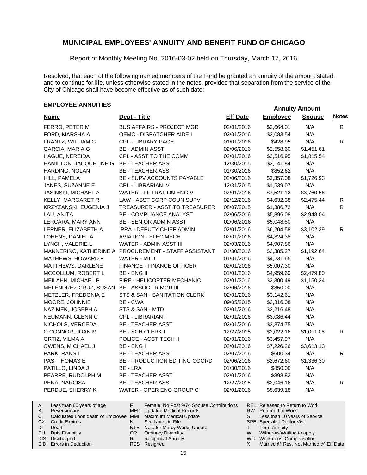Report of Monthly Meeting No. 2016-03-02 held on Thursday, March 17, 2016

Resolved, that each of the following named members of the Fund be granted an annuity of the amount stated, and to continue for life, unless otherwise stated in the notes, provided that separation from the service of the City of Chicago shall have become effective as of such date:

# **EMPLOYEE ANNUITIES**

| <b>Name</b>                              | Dept - Title                                         | <b>Eff Date</b> | <b>Employee</b> | <b>Spouse</b> | <b>Notes</b> |
|------------------------------------------|------------------------------------------------------|-----------------|-----------------|---------------|--------------|
| FERRO, PETER M                           | <b>BUS AFFAIRS - PROJECT MGR</b>                     | 02/01/2016      | \$2,664.01      | N/A           | R.           |
| FORD, MARSHA A                           | OEMC - DISPATCHER AIDE I                             | 02/01/2016      | \$3,083.54      | N/A           |              |
| FRANTZ, WILLIAM G                        | <b>CPL - LIBRARY PAGE</b>                            | 01/01/2016      | \$428.95        | N/A           | R            |
| <b>GARCIA, MARIA G</b>                   | <b>BE - ADMIN ASST</b>                               | 02/06/2016      | \$2,558.60      | \$1,451.61    |              |
| HAGUE, NEREIDA                           | CPL - ASST TO THE COMM                               | 02/01/2016      | \$3,516.95      | \$1,815.54    |              |
| HAMILTON, JACQUELINE G BE - TEACHER ASST |                                                      | 12/30/2015      | \$2,141.84      | N/A           |              |
| HARDING, NOLAN                           | <b>BE - TEACHER ASST</b>                             | 01/30/2016      | \$852.62        | N/A           |              |
| HILL, PAMELA                             | BE - SUPV ACCOUNTS PAYABLE                           | 02/06/2016      | \$3,357.08      | \$1,726.93    |              |
| JANES, SUZANNE E                         | CPL - LIBRARIAN IV                                   | 12/31/2015      | \$1,539.07      | N/A           |              |
| JASINSKI, MICHAEL A                      | <b>WATER - FILTRATION ENG V</b>                      | 02/01/2016      | \$7,521.12      | \$3,760.56    |              |
| KELLY, MARGARET R                        | LAW - ASST CORP COUN SUPV                            | 02/12/2016      | \$4,632.38      | \$2,475.44    | R            |
| KRZYZANSKI, EUGENIA J                    | TREASURER - ASST TO TREASURER                        | 08/07/2015      | \$1,386.72      | N/A           | R            |
| LAU, ANITA                               | <b>BE - COMPLIANCE ANALYST</b>                       | 02/06/2016      | \$5,896.08      | \$2,948.04    |              |
| LERCARA, MARY ANN                        | BE - SENIOR ADMIN ASST                               | 02/06/2016      | \$5,048.80      | N/A           |              |
| LERNER, ELIZABETH A                      | IPRA - DEPUTY CHIEF ADMIN                            | 02/01/2016      | \$6,204.58      | \$3,102.29    | R.           |
| LOHENS, DANIEL A                         | <b>AVIATION - ELEC MECH</b>                          | 02/01/2016      | \$4,824.38      | N/A           |              |
| LYNCH, VALERIE L                         | WATER - ADMIN ASST III                               | 02/03/2016      | \$4,907.86      | N/A           |              |
|                                          | MANNERINO, KATHERINE A PROCUREMENT - STAFF ASSISTANT | 01/30/2016      | \$2,385.27      | \$1,192.64    |              |
| MATHEWS, HOWARD F                        | WATER - MTD                                          | 01/01/2016      | \$4,231.65      | N/A           |              |
| MATTHEWS, DARLENE                        | FINANCE - FINANCE OFFICER                            | 02/01/2016      | \$5,007.30      | N/A           |              |
| MCCOLLUM, ROBERT L                       | <b>BE - ENG II</b>                                   | 01/01/2016      | \$4,959.60      | \$2,479.80    |              |
| MEILAHN, MICHAEL P                       | FIRE - HELICOPTER MECHANIC                           | 02/01/2016      | \$2,300.49      | \$1,150.24    |              |
| MELENDREZ-CRUZ, SUSAN                    | <b>BE - ASSOC LR MGR III</b>                         | 02/06/2016      | \$850.00        | N/A           |              |
| METZLER, FREDONIA E                      | STS & SAN - SANITATION CLERK                         | 02/01/2016      | \$3,142.61      | N/A           |              |
| MOORE, JOHNNIE                           | BE - CWA                                             | 09/05/2015      | \$2,316.08      | N/A           |              |
| NAZIMEK, JOSEPH A                        | STS & SAN - MTD                                      | 02/01/2016      | \$2,216.48      | N/A           |              |
| NEUMANN, GLENN C                         | CPL - LIBRARIAN I                                    | 02/01/2016      | \$3,086.44      | N/A           |              |
| NICHOLS, VERCEDA                         | <b>BE - TEACHER ASST</b>                             | 02/01/2016      | \$2,374.75      | N/A           |              |
| O CONNOR, JOAN M                         | BE - SCH CLERK I                                     | 12/27/2015      | \$2,022.16      | \$1,011.08    | $\mathsf R$  |
| ORTIZ, VILMA A                           | POLICE - ACCT TECH II                                | 02/01/2016      | \$3,457.97      | N/A           |              |
| OWENS, MICHAEL J                         | BE - ENG I                                           | 02/01/2016      | \$7,226.26      | \$3,613.13    |              |
| PARK, RANSIL                             | <b>BE - TEACHER ASST</b>                             | 02/07/2016      | \$600.34        | N/A           | $\mathsf{R}$ |
| PAS, THOMAS E                            | BE - PRODUCTION EDITING COORD                        | 02/06/2016      | \$2,672.60      | \$1,336.30    |              |
| PATILLO, LINDA J                         | BE - LRA                                             | 01/30/2016      | \$850.00        | N/A           |              |
| PEARRE, RUDOLPH M                        | <b>BE - TEACHER ASST</b>                             | 02/01/2016      | \$898.82        | N/A           |              |
| PENA, NARCISA                            | <b>BE - TEACHER ASST</b>                             | 12/27/2015      | \$2,046.18      | N/A           | R            |
| PERDUE, SHERRY K                         | WATER - OPER ENG GROUP C                             | 02/01/2016      | \$5,639.18      | N/A           |              |

|           | Less than 60 years of age                                    |     | Female: No Post 9/74 Spouse Contributions |   | REL Released to Return to Work        |
|-----------|--------------------------------------------------------------|-----|-------------------------------------------|---|---------------------------------------|
| B         | Reversionary                                                 |     | MED Updated Medical Records               |   | RW Returned to Work                   |
|           | Calculated upon death of Employee MMI Maximum Medical Update |     |                                           |   | Less than 10 years of Service         |
| СX        | <b>Credit Expires</b>                                        |     | See Notes in File                         |   | <b>SPE</b> Specialist Doctor Visit    |
|           | Death                                                        |     | NTE Note for Mercy Works Update           |   | <b>Term Annuity</b>                   |
| <b>DU</b> | Duty Disability                                              | OR. | <b>Ordinary Disability</b>                | W | Withdraw/Waiting to apply             |
|           | DIS Discharged                                               |     | <b>Reciprocal Annuity</b>                 |   | WC Workmens' Compensation             |
|           | EID Errors in Deduction                                      |     | RES Resigned                              |   | Married @ Res, Not Married @ Eff Date |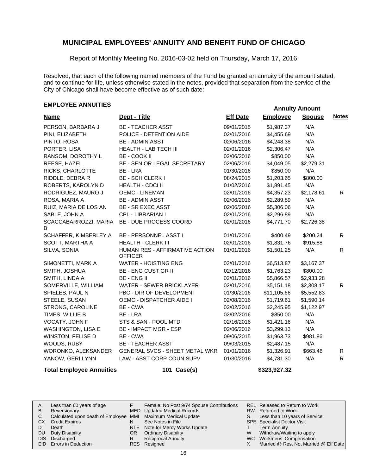Report of Monthly Meeting No. 2016-03-02 held on Thursday, March 17, 2016

Resolved, that each of the following named members of the Fund be granted an annuity of the amount stated, and to continue for life, unless otherwise stated in the notes, provided that separation from the service of the City of Chicago shall have become effective as of such date:

### **EMPLOYEE ANNUITIES**

|                            |                                                  |                 | , ,,,,,,,,,,,   |               |              |
|----------------------------|--------------------------------------------------|-----------------|-----------------|---------------|--------------|
| <b>Name</b>                | Dept - Title                                     | <b>Eff Date</b> | <b>Employee</b> | <b>Spouse</b> | <b>Notes</b> |
| PERSON, BARBARA J          | <b>BE - TEACHER ASST</b>                         | 09/01/2015      | \$1,987.37      | N/A           |              |
| PINI, ELIZABETH            | POLICE - DETENTION AIDE                          | 02/01/2016      | \$4,455.69      | N/A           |              |
| PINTO, ROSA                | <b>BE - ADMIN ASST</b>                           | 02/06/2016      | \$4,248.38      | N/A           |              |
| PORTER, LISA               | <b>HEALTH - LAB TECH III</b>                     | 02/01/2016      | \$2,306.47      | N/A           |              |
| RANSOM, DOROTHY L          | BE - COOK II                                     | 02/06/2016      | \$850.00        | N/A           |              |
| REESE, HAZEL               | BE - SENIOR LEGAL SECRETARY                      | 02/06/2016      | \$4,049.05      | \$2,279.31    |              |
| RICKS, CHARLOTTE           | BE - LRA                                         | 01/30/2016      | \$850.00        | N/A           |              |
| RIDDLE, DEBRA R            | <b>BE - SCH CLERK I</b>                          | 08/24/2015      | \$1,203.65      | \$800.00      |              |
| ROBERTS, KAROLYN D         | <b>HEALTH - CDCI II</b>                          | 01/02/2016      | \$1,891.45      | N/A           |              |
| RODRIGUEZ, MAURO J         | <b>OEMC - LINEMAN</b>                            | 02/01/2016      | \$4,357.23      | \$2,178.61    | R.           |
| ROSA, MARIA A              | <b>BE - ADMIN ASST</b>                           | 02/06/2016      | \$2,289.89      | N/A           |              |
| RUIZ, MARIA DE LOS AN      | <b>BE - SR EXEC ASST</b>                         | 02/06/2016      | \$5,306.06      | N/A           |              |
| SABLE, JOHN A              | CPL - LIBRARIAN I                                | 02/01/2016      | \$2,296.89      | N/A           |              |
| SCACCABARROZZI, MARIA<br>B | BE - DUE PROCESS COORD                           | 02/01/2016      | \$4,771.70      | \$2,726.38    |              |
| SCHAFFER, KIMBERLEY A      | BE - PERSONNEL ASST I                            | 01/01/2016      | \$400.49        | \$200.24      | R            |
| SCOTT, MARTHA A            | <b>HEALTH - CLERK III</b>                        | 02/01/2016      | \$1,831.76      | \$915.88      |              |
| SILVA, SONIA               | HUMAN RES - AFFIRMATIVE ACTION<br><b>OFFICER</b> | 01/01/2016      | \$1,501.25      | N/A           | R.           |
| SIMONETTI, MARK A          | <b>WATER - HOISTING ENG</b>                      | 02/01/2016      | \$6,513.87      | \$3,167.37    |              |
| SMITH, JOSHUA              | <b>BE - ENG CUST GR II</b>                       | 02/12/2016      | \$1,763.23      | \$800.00      |              |
| SMITH, LINDA A             | <b>BE-ENGII</b>                                  | 02/01/2016      | \$5,866.57      | \$2,933.28    |              |
| SOMERVILLE, WILLIAM        | <b>WATER - SEWER BRICKLAYER</b>                  | 02/01/2016      | \$5,151.18      | \$2,308.17    | R            |
| SPIELES, PAUL N            | PBC - DIR OF DEVELOPMENT                         | 01/30/2016      | \$11,105.66     | \$5,552.83    |              |
| STEELE, SUSAN              | <b>OEMC - DISPATCHER AIDE I</b>                  | 02/08/2016      | \$1,719.61      | \$1,590.14    |              |
| STRONG, CAROLINE           | BE - CWA                                         | 02/02/2016      | \$2,245.95      | \$1,122.97    |              |
| TIMES, WILLIE B            | BE - LRA                                         | 02/02/2016      | \$850.00        | N/A           |              |
| VOCATY, JOHN F             | STS & SAN - POOL MTD                             | 02/16/2016      | \$1,421.16      | N/A           |              |
| <b>WASHINGTON, LISA E</b>  | <b>BE - IMPACT MGR - ESP</b>                     | 02/06/2016      | \$3,299.13      | N/A           |              |
| <b>WINSTON, FELISE D</b>   | BE - CWA                                         | 09/06/2015      | \$1,963.73      | \$981.86      |              |
| WOODS, RUBY                | <b>BE - TEACHER ASST</b>                         | 09/03/2015      | \$2,487.15      | N/A           |              |
| WORONKO, ALEKSANDER        | <b>GENERAL SVCS - SHEET METAL WKR</b>            | 01/01/2016      | \$1,326.91      | \$663.46      | R            |
| YANOW, GERI LYNN           | LAW - ASST CORP COUN SUPV                        | 01/30/2016      | \$4,781.30      | N/A           | R.           |

**Total Employee Annuities 101 Case(s) \$323,927.32**

|     | Less than 60 years of age                                    |     | Female: No Post 9/74 Spouse Contributions |   | REL Released to Return to Work        |
|-----|--------------------------------------------------------------|-----|-------------------------------------------|---|---------------------------------------|
| B   | Reversionary                                                 |     | MED Updated Medical Records               |   | RW Returned to Work                   |
|     | Calculated upon death of Employee MMI Maximum Medical Update |     |                                           |   | Less than 10 years of Service         |
| CX. | <b>Credit Expires</b>                                        |     | See Notes in File                         |   | <b>SPE</b> Specialist Doctor Visit    |
|     | Death                                                        |     | NTE Note for Mercy Works Update           |   | <b>Term Annuity</b>                   |
| DU  | Duty Disability                                              | OR. | <b>Ordinary Disability</b>                | W | Withdraw/Waiting to apply             |
|     | DIS Discharged                                               |     | <b>Reciprocal Annuity</b>                 |   | WC Workmens' Compensation             |
|     | <b>EID</b> Errors in Deduction                               |     | RES Resigned                              |   | Married @ Res, Not Married @ Eff Date |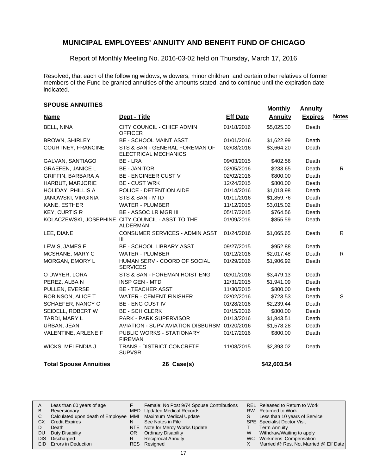Report of Monthly Meeting No. 2016-03-02 held on Thursday, March 17, 2016

Resolved, that each of the following widows, widowers, minor children, and certain other relatives of former members of the Fund be granted annuities of the amounts stated, and to continue until the expiration date indicated.

# **SPOUSE ANNUITIES**<br> **SPOUSE ANNUITIES**

| <b>Name</b>                   | Dept - Title                                                         | <b>Eff Date</b> | <b>Annuity</b> | <b>Expires</b> | <b>Notes</b> |
|-------------------------------|----------------------------------------------------------------------|-----------------|----------------|----------------|--------------|
| <b>BELL, NINA</b>             | CITY COUNCIL - CHIEF ADMIN<br><b>OFFICER</b>                         | 01/18/2016      | \$5,025.30     | Death          |              |
| <b>BROWN, SHIRLEY</b>         | <b>BE - SCHOOL MAINT ASST</b>                                        | 01/01/2016      | \$1,622.99     | Death          |              |
| COURTNEY, FRANCINE            | STS & SAN - GENERAL FOREMAN OF<br><b>ELECTRICAL MECHANICS</b>        | 02/08/2016      | \$3,664.20     | Death          |              |
| GALVAN, SANTIAGO              | BE - LRA                                                             | 09/03/2015      | \$402.56       | Death          |              |
| <b>GRAEFEN, JANICE L</b>      | <b>BE - JANITOR</b>                                                  | 02/05/2016      | \$233.65       | Death          | R.           |
| GRIFFIN, BARBARA A            | <b>BE - ENGINEER CUST V</b>                                          | 02/02/2016      | \$800.00       | Death          |              |
| HARBUT, MARJORIE              | <b>BE - CUST WRK</b>                                                 | 12/24/2015      | \$800.00       | Death          |              |
| HOLIDAY, PHILLIS A            | POLICE - DETENTION AIDE                                              | 01/14/2016      | \$1,018.98     | Death          |              |
| <b>JANOWSKI, VIRGINIA</b>     | STS & SAN - MTD                                                      | 01/11/2016      | \$1,859.76     | Death          |              |
| KANE, ESTHER                  | <b>WATER - PLUMBER</b>                                               | 11/12/2015      | \$3,015.02     | Death          |              |
| <b>KEY, CURTIS R</b>          | <b>BE - ASSOC LR MGR III</b>                                         | 05/17/2015      | \$764.56       | Death          |              |
|                               | KOLACZEWSKI, JOSEPHINE CITY COUNCIL - ASST TO THE<br><b>ALDERMAN</b> | 01/09/2016      | \$855.59       | Death          |              |
| LEE, DIANE                    | CONSUMER SERVICES - ADMIN ASST<br>Ш                                  | 01/24/2016      | \$1,065.65     | Death          | R.           |
| LEWIS, JAMES E                | <b>BE - SCHOOL LIBRARY ASST</b>                                      | 09/27/2015      | \$952.88       | Death          |              |
| MCSHANE, MARY C               | <b>WATER - PLUMBER</b>                                               | 01/12/2016      | \$2,017.48     | Death          | R.           |
| MORGAN, EMORY L               | HUMAN SERV - COORD OF SOCIAL<br><b>SERVICES</b>                      | 01/29/2016      | \$1,906.92     | Death          |              |
| O DWYER, LORA                 | STS & SAN - FOREMAN HOIST ENG                                        | 02/01/2016      | \$3,479.13     | Death          |              |
| PEREZ, ALBA N                 | <b>INSP GEN - MTD</b>                                                | 12/31/2015      | \$1,941.09     | Death          |              |
| PULLEN, EVERSE                | <b>BE - TEACHER ASST</b>                                             | 11/30/2015      | \$800.00       | Death          |              |
| ROBINSON, ALICE T             | <b>WATER - CEMENT FINISHER</b>                                       | 02/02/2016      | \$723.53       | Death          | S            |
| SCHAEFER, NANCY C             | <b>BE - ENG CUST IV</b>                                              | 01/28/2016      | \$2,239.44     | Death          |              |
| SEIDELL, ROBERT W             | <b>BE - SCH CLERK</b>                                                | 01/15/2016      | \$800.00       | Death          |              |
| TARDI, MARY L                 | PARK - PARK SUPERVISOR                                               | 01/13/2016      | \$1,843.51     | Death          |              |
| URBAN, JEAN                   | AVIATION - SUPV AVIATION DISBURSM 01/20/2016                         |                 | \$1,578.28     | Death          |              |
| VALENTINE, ARLENE F           | PUBLIC WORKS - STATIONARY<br><b>FIREMAN</b>                          | 01/17/2016      | \$800.00       | Death          |              |
| WICKS, MELENDIA J             | TRANS - DISTRICT CONCRETE<br><b>SUPVSR</b>                           | 11/08/2015      | \$2,393.02     | Death          |              |
| <b>Total Spouse Annuities</b> | 26 Case(s)                                                           |                 | \$42,603.54    |                |              |

| A  | Less than 60 years of age                                    |     | Female: No Post 9/74 Spouse Contributions |   | REL Released to Return to Work        |
|----|--------------------------------------------------------------|-----|-------------------------------------------|---|---------------------------------------|
| В  | Reversionary                                                 |     | MED Updated Medical Records               |   | RW Returned to Work                   |
|    | Calculated upon death of Employee MMI Maximum Medical Update |     |                                           | S | Less than 10 years of Service         |
| СX | <b>Credit Expires</b>                                        | N   | See Notes in File                         |   | <b>SPE</b> Specialist Doctor Visit    |
|    | Death                                                        |     | NTE Note for Mercy Works Update           |   | <b>Term Annuity</b>                   |
| DU | Duty Disability                                              | OR. | <b>Ordinary Disability</b>                | W | Withdraw/Waiting to apply             |
|    | DIS Discharged                                               | R   | <b>Reciprocal Annuity</b>                 |   | WC Workmens' Compensation             |
|    | EID Errors in Deduction                                      |     | RES Resigned                              |   | Married @ Res, Not Married @ Eff Date |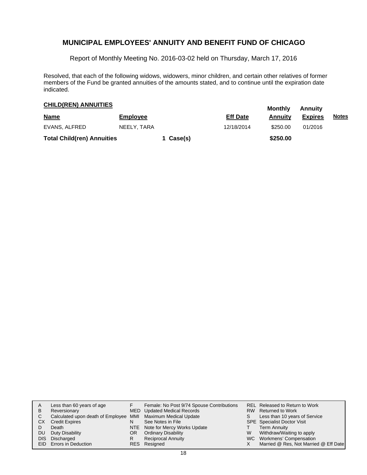Report of Monthly Meeting No. 2016-03-02 held on Thursday, March 17, 2016

Resolved, that each of the following widows, widowers, minor children, and certain other relatives of former members of the Fund be granted annuities of the amounts stated, and to continue until the expiration date indicated.

### **CHILD(REN) ANNUITIES**<br> **CHILD(REN) ANNUITIES**

| <b>Name</b>                       | <b>Employee</b> |           | <b>Eff Date</b> | <b>IVIVIILIIV</b><br>Annuitv | <b>AURUS</b><br><b>Expires</b> | <u>Notes</u> |
|-----------------------------------|-----------------|-----------|-----------------|------------------------------|--------------------------------|--------------|
| EVANS, ALFRED                     | NEELY. TARA     |           | 12/18/2014      | \$250.00                     | 01/2016                        |              |
| <b>Total Child(ren) Annuities</b> |                 | 1 Case(s) |                 | \$250.00                     |                                |              |

| A<br>B<br>C<br>СX<br>DU. | Less than 60 years of age<br>Reversionary<br>Calculated upon death of Employee MMI Maximum Medical Update<br><b>Credit Expires</b><br>Death<br>Duty Disability<br>DIS Discharged | N<br>OR<br>R | Female: No Post 9/74 Spouse Contributions<br>MED Updated Medical Records<br>See Notes in File<br>NTE Note for Mercy Works Update<br><b>Ordinary Disability</b><br><b>Reciprocal Annuity</b> | S.<br>W | REL Released to Return to Work<br>RW Returned to Work<br>Less than 10 years of Service<br><b>SPE</b> Specialist Doctor Visit<br><b>Term Annuity</b><br>Withdraw/Waiting to apply<br>WC Workmens' Compensation |
|--------------------------|----------------------------------------------------------------------------------------------------------------------------------------------------------------------------------|--------------|---------------------------------------------------------------------------------------------------------------------------------------------------------------------------------------------|---------|---------------------------------------------------------------------------------------------------------------------------------------------------------------------------------------------------------------|
|                          | <b>EID</b> Errors in Deduction                                                                                                                                                   |              | RES Resigned                                                                                                                                                                                |         | Married @ Res, Not Married @ Eff Date                                                                                                                                                                         |
|                          |                                                                                                                                                                                  |              |                                                                                                                                                                                             |         |                                                                                                                                                                                                               |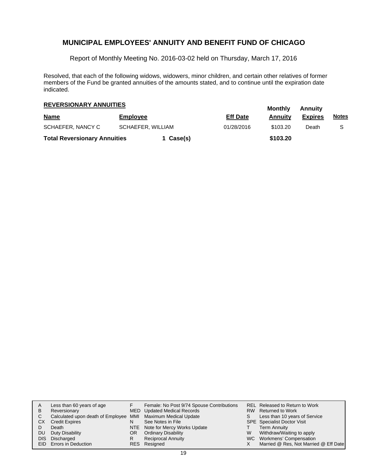Report of Monthly Meeting No. 2016-03-02 held on Thursday, March 17, 2016

Resolved, that each of the following widows, widowers, minor children, and certain other relatives of former members of the Fund be granted annuities of the amounts stated, and to continue until the expiration date indicated.

# **Monthly Annuity REVERSIONARY ANNUITIES**

|                                        |                 |           |                 |          | , , , , , , , , , , |              |
|----------------------------------------|-----------------|-----------|-----------------|----------|---------------------|--------------|
| <b>Name</b>                            | <b>Employee</b> |           | <b>Eff Date</b> | Annuitv  | <b>Expires</b>      | <u>Notes</u> |
| SCHAEFER, NANCY C<br>SCHAEFER, WILLIAM |                 |           | 01/28/2016      | \$103.20 | Death               |              |
| <b>Total Reversionary Annuities</b>    |                 | 1 Case(s) |                 | \$103.20 |                     |              |

| A<br>B<br>C.<br>СX<br>DU. | Less than 60 years of age<br>Reversionary<br>Calculated upon death of Employee MMI Maximum Medical Update<br><b>Credit Expires</b><br>Death<br>Duty Disability | N<br>OR.<br>R | Female: No Post 9/74 Spouse Contributions<br>MED Updated Medical Records<br>See Notes in File<br>NTE Note for Mercy Works Update<br><b>Ordinary Disability</b> | S.<br>W | REL Released to Return to Work<br>RW Returned to Work<br>Less than 10 years of Service<br><b>SPE</b> Specialist Doctor Visit<br><b>Term Annuity</b><br>Withdraw/Waiting to apply |
|---------------------------|----------------------------------------------------------------------------------------------------------------------------------------------------------------|---------------|----------------------------------------------------------------------------------------------------------------------------------------------------------------|---------|----------------------------------------------------------------------------------------------------------------------------------------------------------------------------------|
|                           | DIS Discharged<br>EID Errors in Deduction                                                                                                                      |               | <b>Reciprocal Annuity</b><br>RES Resigned                                                                                                                      |         | WC Workmens' Compensation<br>Married @ Res, Not Married @ Eff Date                                                                                                               |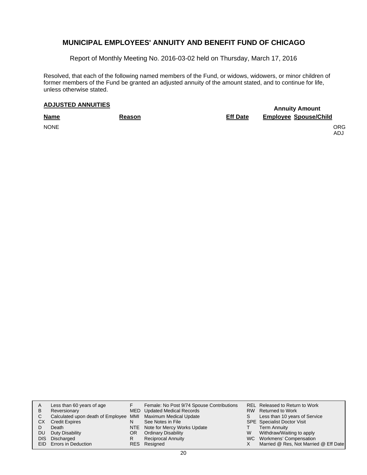Report of Monthly Meeting No. 2016-03-02 held on Thursday, March 17, 2016

Resolved, that each of the following named members of the Fund, or widows, widowers, or minor children of former members of the Fund be granted an adjusted annuity of the amount stated, and to continue for life, unless otherwise stated.

# **Annuity Amount ADJUSTED ANNUITIES**

**Name Reason Eff Date Employee Spouse/Child** NONE CONSTRUCTION CONTINUES ON A SERVICE OF STRUCTURE OR CONTINUES ON A SERVICE OF STRUCTURE OR ORG

ADJ

| A   | Less than 60 years of age                                    |     | Female: No Post 9/74 Spouse Contributions |   | REL Released to Return to Work        |
|-----|--------------------------------------------------------------|-----|-------------------------------------------|---|---------------------------------------|
| B   | Reversionary                                                 |     | MED Updated Medical Records               |   | RW Returned to Work                   |
| C.  | Calculated upon death of Employee MMI Maximum Medical Update |     |                                           | S | Less than 10 years of Service         |
| CX. | <b>Credit Expires</b>                                        |     | See Notes in File                         |   | <b>SPE</b> Specialist Doctor Visit    |
|     | Death                                                        |     | NTE Note for Mercy Works Update           |   | <b>Term Annuity</b>                   |
| DU. | Duty Disability                                              | OR. | <b>Ordinary Disability</b>                | W | Withdraw/Waiting to apply             |
|     | DIS Discharged                                               |     | <b>Reciprocal Annuity</b>                 |   | WC Workmens' Compensation             |
|     | EID Errors in Deduction                                      |     | RES Resigned                              |   | Married @ Res, Not Married @ Eff Date |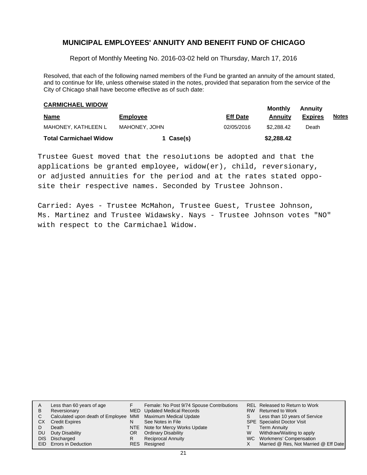Report of Monthly Meeting No. 2016-03-02 held on Thursday, March 17, 2016

Resolved, that each of the following named members of the Fund be granted an annuity of the amount stated, and to continue for life, unless otherwise stated in the notes, provided that separation from the service of the City of Chicago shall have become effective as of such date:

# **CARMICHAEL WIDOW**<br> **CARMICHAEL WIDOW**

| <b>Name</b>                   | <b>Employee</b> | <b>Eff Date</b> | <br>Annuitv | <b>Expires</b> | <u>Notes</u> |
|-------------------------------|-----------------|-----------------|-------------|----------------|--------------|
| MAHONEY. KATHLEEN L           | MAHONEY. JOHN   | 02/05/2016      | \$2.288.42  | Death          |              |
| <b>Total Carmichael Widow</b> | 1 Case(s)       |                 | \$2,288.42  |                |              |

Trustee Guest moved that the resolutions be adopted and that the applications be granted employee, widow(er), child, reversionary, or adjusted annuities for the period and at the rates stated opposite their respective names. Seconded by Trustee Johnson.

Carried: Ayes - Trustee McMahon, Trustee Guest, Trustee Johnson, Ms. Martinez and Trustee Widawsky. Nays - Trustee Johnson votes "NO" with respect to the Carmichael Widow.

|    | Less than 60 years of age                                    |    | Female: No Post 9/74 Spouse Contributions |    | <b>REL Released to Return to Work</b> |
|----|--------------------------------------------------------------|----|-------------------------------------------|----|---------------------------------------|
| A  |                                                              |    |                                           |    |                                       |
| в  | Reversionary                                                 |    | MED Updated Medical Records               |    | RW Returned to Work                   |
|    | Calculated upon death of Employee MMI Maximum Medical Update |    |                                           | S. | Less than 10 years of Service         |
| CХ | <b>Credit Expires</b>                                        | N  | See Notes in File                         |    | <b>SPE</b> Specialist Doctor Visit    |
|    | Death                                                        |    | NTE Note for Mercy Works Update           |    | <b>Term Annuity</b>                   |
| DU | Duty Disability                                              | OR | <b>Ordinary Disability</b>                | W  | Withdraw/Waiting to apply             |
|    | DIS Discharged                                               | R  | <b>Reciprocal Annuity</b>                 |    | WC Workmens' Compensation             |
|    | <b>EID</b> Errors in Deduction                               |    | RES Resigned                              |    | Married @ Res, Not Married @ Eff Date |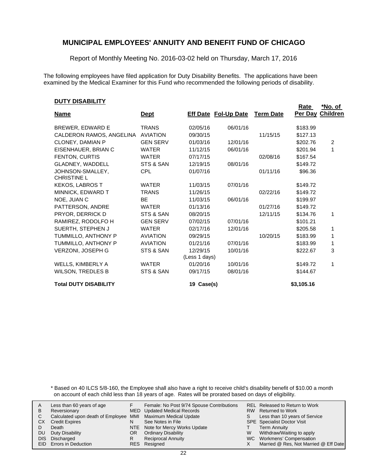Report of Monthly Meeting No. 2016-03-02 held on Thursday, March 17, 2016

The following employees have filed application for Duty Disability Benefits. The applications have been examined by the Medical Examiner for this Fund who recommended the following periods of disability.

#### **DUTY DISABILITY**

| <u> , , , , , , , , , , , , , ,</u>    |                 |                             |          |                  | <u>Rate</u> | <u>*No. of</u> |
|----------------------------------------|-----------------|-----------------------------|----------|------------------|-------------|----------------|
| <u>Name</u>                            | <u>Dept</u>     | <b>Eff Date Fol-Up Date</b> |          | <b>Term Date</b> | Per Day     | Children       |
| BREWER, EDWARD E                       | <b>TRANS</b>    | 02/05/16                    | 06/01/16 |                  | \$183.99    |                |
| CALDERON RAMOS, ANGELINA               | <b>AVIATION</b> | 09/30/15                    |          | 11/15/15         | \$127.13    |                |
| CLONEY, DAMIAN P                       | <b>GEN SERV</b> | 01/03/16                    | 12/01/16 |                  | \$202.76    | 2              |
| EISENHAUER, BRIAN C                    | <b>WATER</b>    | 11/12/15                    | 06/01/16 |                  | \$201.94    | 1              |
| FENTON, CURTIS                         | <b>WATER</b>    | 07/17/15                    |          | 02/08/16         | \$167.54    |                |
| GLADNEY, WADDELL                       | STS & SAN       | 12/19/15                    | 08/01/16 |                  | \$149.72    |                |
| JOHNSON-SMALLEY,<br><b>CHRISTINE L</b> | <b>CPL</b>      | 01/07/16                    |          | 01/11/16         | \$96.36     |                |
| <b>KEKOS, LABROS T</b>                 | <b>WATER</b>    | 11/03/15                    | 07/01/16 |                  | \$149.72    |                |
| MINNICK, EDWARD T                      | <b>TRANS</b>    | 11/26/15                    |          | 02/22/16         | \$149.72    |                |
| NOE, JUAN C                            | <b>BE</b>       | 11/03/15                    | 06/01/16 |                  | \$199.97    |                |
| PATTERSON, ANDRE                       | <b>WATER</b>    | 01/13/16                    |          | 01/27/16         | \$149.72    |                |
| PRYOR, DERRICK D                       | STS & SAN       | 08/20/15                    |          | 12/11/15         | \$134.76    | 1              |
| RAMIREZ, RODOLFO H                     | <b>GEN SERV</b> | 07/02/15                    | 07/01/16 |                  | \$101.21    |                |
| SUERTH, STEPHEN J                      | <b>WATER</b>    | 02/17/16                    | 12/01/16 |                  | \$205.58    |                |
| TUMMILLO, ANTHONY P                    | <b>AVIATION</b> | 09/29/15                    |          | 10/20/15         | \$183.99    | 1              |
| TUMMILLO, ANTHONY P                    | <b>AVIATION</b> | 01/21/16                    | 07/01/16 |                  | \$183.99    | 1              |
| <b>VERZONI, JOSEPH G</b>               | STS & SAN       | 12/29/15                    | 10/01/16 |                  | \$222.67    | 3              |
|                                        |                 | (Less 1 days)               |          |                  |             |                |
| WELLS, KIMBERLY A                      | <b>WATER</b>    | 01/20/16                    | 10/01/16 |                  | \$149.72    | 1              |
| <b>WILSON, TREDLES B</b>               | STS & SAN       | 09/17/15                    | 08/01/16 |                  | \$144.67    |                |
| <b>Total DUTY DISABILITY</b>           |                 | 19 Case(s)                  |          |                  | \$3,105.16  |                |

\* Based on 40 ILCS 5/8-160, the Employee shall also have a right to receive child's disability benefit of \$10.00 a month on account of each child less than 18 years of age. Rates will be prorated based on days of eligibility.

|    | Less than 60 years of age                                    |    | Female: No Post 9/74 Spouse Contributions |    | <b>REL Released to Return to Work</b> |
|----|--------------------------------------------------------------|----|-------------------------------------------|----|---------------------------------------|
|    |                                                              |    |                                           |    |                                       |
| В  | Reversionary                                                 |    | MED Updated Medical Records               |    | RW Returned to Work                   |
|    | Calculated upon death of Employee MMI Maximum Medical Update |    |                                           | S. | Less than 10 years of Service         |
| СX | <b>Credit Expires</b>                                        | N  | See Notes in File                         |    | <b>SPE</b> Specialist Doctor Visit    |
|    | Death                                                        |    | NTE Note for Mercy Works Update           |    | Term Annuity                          |
| DU | Duty Disability                                              | OR | <b>Ordinary Disability</b>                | W  | Withdraw/Waiting to apply             |
|    | DIS Discharged                                               |    | <b>Reciprocal Annuity</b>                 |    | WC Workmens' Compensation             |
|    | EID Errors in Deduction                                      |    | RES Resigned                              |    | Married @ Res, Not Married @ Eff Date |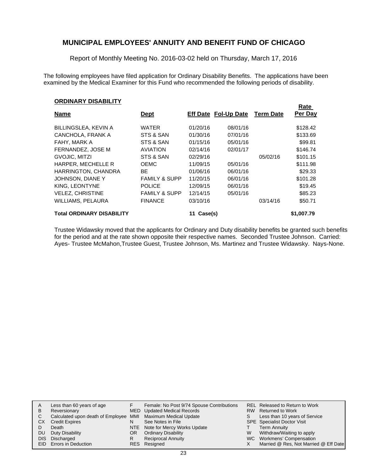Report of Monthly Meeting No. 2016-03-02 held on Thursday, March 17, 2016

The following employees have filed application for Ordinary Disability Benefits. The applications have been examined by the Medical Examiner for this Fund who recommended the following periods of disability.

**Rate** 

#### **ORDINARY DISABILITY**

| <b>Name</b>                      | <u>Dept</u>              |               | Eff Date Fol-Up Date | <b>Term Date</b> | <b>Rate</b><br>Per Day |
|----------------------------------|--------------------------|---------------|----------------------|------------------|------------------------|
| BILLINGSLEA, KEVIN A             | <b>WATER</b>             | 01/20/16      | 08/01/16             |                  | \$128.42               |
| CANCHOLA, FRANK A                | STS & SAN                | 01/30/16      | 07/01/16             |                  | \$133.69               |
| FAHY, MARK A                     | STS & SAN                | 01/15/16      | 05/01/16             |                  | \$99.81                |
| FERNANDEZ. JOSE M                | <b>AVIATION</b>          | 02/14/16      | 02/01/17             |                  | \$146.74               |
| GVOJIC, MITZI                    | STS & SAN                | 02/29/16      |                      | 05/02/16         | \$101.15               |
| HARPER, MECHELLE R               | <b>OEMC</b>              | 11/09/15      | 05/01/16             |                  | \$111.98               |
| HARRINGTON, CHANDRA              | BE                       | 01/06/16      | 06/01/16             |                  | \$29.33                |
| JOHNSON, DIANE Y                 | <b>FAMILY &amp; SUPP</b> | 11/20/15      | 06/01/16             |                  | \$101.28               |
| KING, LEONTYNE                   | <b>POLICE</b>            | 12/09/15      | 06/01/16             |                  | \$19.45                |
| <b>VELEZ, CHRISTINE</b>          | <b>FAMILY &amp; SUPP</b> | 12/14/15      | 05/01/16             |                  | \$85.23                |
| WILLIAMS, PELAURA                | <b>FINANCE</b>           | 03/10/16      |                      | 03/14/16         | \$50.71                |
| <b>Total ORDINARY DISABILITY</b> |                          | Case(s)<br>11 |                      |                  | \$1,007.79             |

Trustee Widawsky moved that the applicants for Ordinary and Duty disability benefits be granted such benefits for the period and at the rate shown opposite their respective names. Seconded Trustee Johnson. Carried: Ayes- Trustee McMahon,Trustee Guest, Trustee Johnson, Ms. Martinez and Trustee Widawsky. Nays-None.

| A    | Less than 60 years of age                                    |    | Female: No Post 9/74 Spouse Contributions |   | REL Released to Return to Work        |
|------|--------------------------------------------------------------|----|-------------------------------------------|---|---------------------------------------|
| B    | Reversionary                                                 |    | MED Updated Medical Records               |   | RW Returned to Work                   |
| C.   | Calculated upon death of Employee MMI Maximum Medical Update |    |                                           | S | Less than 10 years of Service         |
| СX   | <b>Credit Expires</b>                                        | N  | See Notes in File                         |   | <b>SPE</b> Specialist Doctor Visit    |
|      | Death                                                        |    | NTE Note for Mercy Works Update           |   | <b>Term Annuity</b>                   |
| DU.  | Duty Disability                                              | OR | <b>Ordinary Disability</b>                | W | Withdraw/Waiting to apply             |
| DIS. | Discharged                                                   | R  | <b>Reciprocal Annuity</b>                 |   | WC Workmens' Compensation             |
|      | <b>EID</b> Errors in Deduction                               |    | RES Resigned                              |   | Married @ Res, Not Married @ Eff Date |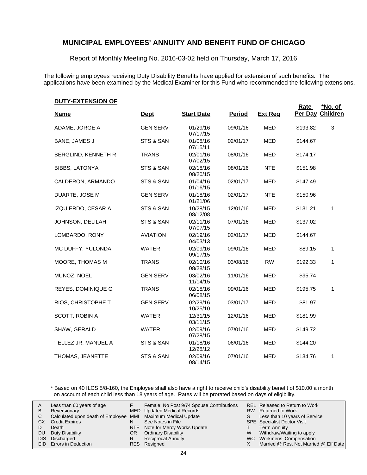Report of Monthly Meeting No. 2016-03-02 held on Thursday, March 17, 2016

The following employees receiving Duty Disability Benefits have applied for extension of such benefits. The applications have been examined by the Medical Examiner for this Fund who recommended the following extensions.

| <u>UU ILLATLINJIUN UL</u> |                 |                      |               |                | <b>Rate</b> | *No. of          |
|---------------------------|-----------------|----------------------|---------------|----------------|-------------|------------------|
| <b>Name</b>               | <b>Dept</b>     | <b>Start Date</b>    | <b>Period</b> | <b>Ext Req</b> |             | Per Day Children |
| ADAME, JORGE A            | <b>GEN SERV</b> | 01/29/16<br>07/17/15 | 09/01/16      | <b>MED</b>     | \$193.82    | 3                |
| BANE, JAMES J             | STS & SAN       | 01/08/16<br>07/15/11 | 02/01/17      | <b>MED</b>     | \$144.67    |                  |
| BERGLIND, KENNETH R       | <b>TRANS</b>    | 02/01/16<br>07/02/15 | 08/01/16      | <b>MED</b>     | \$174.17    |                  |
| <b>BIBBS, LATONYA</b>     | STS & SAN       | 02/18/16<br>08/20/15 | 08/01/16      | <b>NTE</b>     | \$151.98    |                  |
| CALDERON, ARMANDO         | STS & SAN       | 01/04/16<br>01/16/15 | 02/01/17      | <b>MED</b>     | \$147.49    |                  |
| DUARTE, JOSE M            | <b>GEN SERV</b> | 01/18/16<br>01/21/06 | 02/01/17      | <b>NTE</b>     | \$150.96    |                  |
| IZQUIERDO, CESAR A        | STS & SAN       | 10/28/15<br>08/12/08 | 12/01/16      | <b>MED</b>     | \$131.21    | 1                |
| JOHNSON, DELILAH          | STS & SAN       | 02/11/16<br>07/07/15 | 07/01/16      | <b>MED</b>     | \$137.02    |                  |
| LOMBARDO, RONY            | <b>AVIATION</b> | 02/19/16<br>04/03/13 | 02/01/17      | <b>MED</b>     | \$144.67    |                  |
| MC DUFFY, YULONDA         | <b>WATER</b>    | 02/09/16<br>09/17/15 | 09/01/16      | <b>MED</b>     | \$89.15     | 1                |
| MOORE, THOMAS M           | <b>TRANS</b>    | 02/10/16<br>08/28/15 | 03/08/16      | <b>RW</b>      | \$192.33    | 1                |
| MUNOZ, NOEL               | <b>GEN SERV</b> | 03/02/16<br>11/14/15 | 11/01/16      | <b>MED</b>     | \$95.74     |                  |
| REYES, DOMINIQUE G        | <b>TRANS</b>    | 02/18/16<br>06/08/15 | 09/01/16      | <b>MED</b>     | \$195.75    | 1                |
| RIOS, CHRISTOPHE T        | <b>GEN SERV</b> | 02/29/16<br>10/25/10 | 03/01/17      | <b>MED</b>     | \$81.97     |                  |
| SCOTT, ROBIN A            | <b>WATER</b>    | 12/31/15<br>03/11/15 | 12/01/16      | <b>MED</b>     | \$181.99    |                  |
| SHAW, GERALD              | <b>WATER</b>    | 02/09/16<br>07/28/15 | 07/01/16      | <b>MED</b>     | \$149.72    |                  |
| TELLEZ JR, MANUEL A       | STS & SAN       | 01/18/16<br>12/28/12 | 06/01/16      | <b>MED</b>     | \$144.20    |                  |
| <b>THOMAS, JEANETTE</b>   | STS & SAN       | 02/09/16<br>08/14/15 | 07/01/16      | <b>MED</b>     | \$134.76    | 1                |

\* Based on 40 ILCS 5/8-160, the Employee shall also have a right to receive child's disability benefit of \$10.00 a month on account of each child less than 18 years of age. Rates will be prorated based on days of eligibility.

| A<br>В<br>CХ<br>DU | Less than 60 years of age<br>Reversionary<br>Calculated upon death of Employee MMI Maximum Medical Update<br><b>Credit Expires</b><br>Death<br>Duty Disability<br>DIS Discharged<br>EID Errors in Deduction | N<br>OR<br>R | Female: No Post 9/74 Spouse Contributions<br>MED Updated Medical Records<br>See Notes in File<br>NTE Note for Mercy Works Update<br><b>Ordinary Disability</b><br><b>Reciprocal Annuity</b><br>RES Resigned | S.<br>W | <b>REL Released to Return to Work</b><br>RW Returned to Work<br>Less than 10 years of Service<br><b>SPE</b> Specialist Doctor Visit<br><b>Term Annuity</b><br>Withdraw/Waiting to apply<br>WC Workmens' Compensation<br>Married @ Res, Not Married @ Eff Date |
|--------------------|-------------------------------------------------------------------------------------------------------------------------------------------------------------------------------------------------------------|--------------|-------------------------------------------------------------------------------------------------------------------------------------------------------------------------------------------------------------|---------|---------------------------------------------------------------------------------------------------------------------------------------------------------------------------------------------------------------------------------------------------------------|
|--------------------|-------------------------------------------------------------------------------------------------------------------------------------------------------------------------------------------------------------|--------------|-------------------------------------------------------------------------------------------------------------------------------------------------------------------------------------------------------------|---------|---------------------------------------------------------------------------------------------------------------------------------------------------------------------------------------------------------------------------------------------------------------|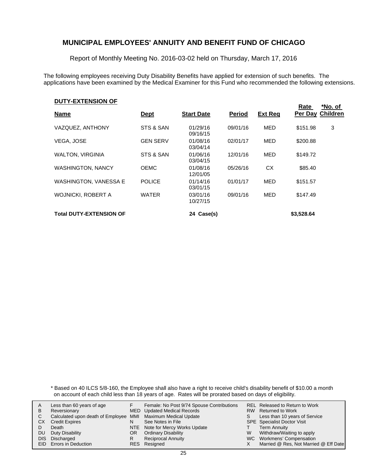Report of Monthly Meeting No. 2016-03-02 held on Thursday, March 17, 2016

The following employees receiving Duty Disability Benefits have applied for extension of such benefits. The applications have been examined by the Medical Examiner for this Fund who recommended the following extensions.

#### **DUTY-EXTENSION OF**

| <b>Name</b>                    | <u>Dept</u>     | <b>Start Date</b>    | <b>Period</b> | <b>Ext Reg</b> | Rate       | *No. of<br>Per Day Children |
|--------------------------------|-----------------|----------------------|---------------|----------------|------------|-----------------------------|
| VAZQUEZ, ANTHONY               | STS & SAN       | 01/29/16<br>09/16/15 | 09/01/16      | <b>MED</b>     | \$151.98   | 3                           |
| <b>VEGA, JOSE</b>              | <b>GEN SERV</b> | 01/08/16<br>03/04/14 | 02/01/17      | MED            | \$200.88   |                             |
| <b>WALTON, VIRGINIA</b>        | STS & SAN       | 01/06/16<br>03/04/15 | 12/01/16      | MED            | \$149.72   |                             |
| <b>WASHINGTON, NANCY</b>       | <b>OEMC</b>     | 01/08/16<br>12/01/05 | 05/26/16      | CX.            | \$85.40    |                             |
| <b>WASHINGTON, VANESSA E</b>   | <b>POLICE</b>   | 01/14/16<br>03/01/15 | 01/01/17      | MED            | \$151.57   |                             |
| <b>WOJNICKI, ROBERT A</b>      | <b>WATER</b>    | 03/01/16<br>10/27/15 | 09/01/16      | <b>MED</b>     | \$147.49   |                             |
| <b>Total DUTY-EXTENSION OF</b> |                 | 24 Case(s)           |               |                | \$3,528,64 |                             |

\* Based on 40 ILCS 5/8-160, the Employee shall also have a right to receive child's disability benefit of \$10.00 a month on account of each child less than 18 years of age. Rates will be prorated based on days of eligibility.

| A  | Less than 60 years of age                                    |     | Female: No Post 9/74 Spouse Contributions |    | <b>REL Released to Return to Work</b> |
|----|--------------------------------------------------------------|-----|-------------------------------------------|----|---------------------------------------|
| В  | Reversionary                                                 |     | MED Updated Medical Records               |    | RW Returned to Work                   |
| C. | Calculated upon death of Employee MMI Maximum Medical Update |     |                                           | S. | Less than 10 years of Service         |
| СX | <b>Credit Expires</b>                                        | N   | See Notes in File                         |    | <b>SPE</b> Specialist Doctor Visit    |
|    | Death                                                        |     | NTE Note for Mercy Works Update           |    | <b>Term Annuity</b>                   |
| DU | Duty Disability                                              | OR. | <b>Ordinary Disability</b>                | W  | Withdraw/Waiting to apply             |
|    | DIS Discharged                                               | R   | <b>Reciprocal Annuity</b>                 |    | WC Workmens' Compensation             |
|    | EID Errors in Deduction                                      |     | RES Resigned                              |    | Married @ Res, Not Married @ Eff Date |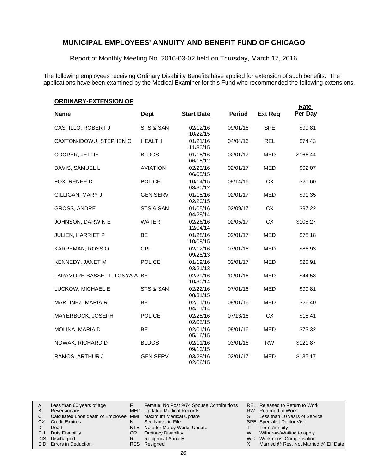Report of Monthly Meeting No. 2016-03-02 held on Thursday, March 17, 2016

The following employees receiving Ordinary Disability Benefits have applied for extension of such benefits. The applications have been examined by the Medical Examiner for this Fund who recommended the following extensions.

### **ORDINARY-EXTENSION OF**

|                              |                 |                      |               |                | <b>Rate</b> |
|------------------------------|-----------------|----------------------|---------------|----------------|-------------|
| <b>Name</b>                  | <b>Dept</b>     | <b>Start Date</b>    | <b>Period</b> | <b>Ext Req</b> | Per Day     |
| CASTILLO, ROBERT J           | STS & SAN       | 02/12/16<br>10/22/15 | 09/01/16      | <b>SPE</b>     | \$99.81     |
| CAXTON-IDOWU, STEPHEN O      | <b>HEALTH</b>   | 01/21/16<br>11/30/15 | 04/04/16      | <b>REL</b>     | \$74.43     |
| COOPER, JETTIE               | <b>BLDGS</b>    | 01/15/16<br>06/15/12 | 02/01/17      | <b>MED</b>     | \$166.44    |
| DAVIS, SAMUEL L              | <b>AVIATION</b> | 02/23/16<br>06/05/15 | 02/01/17      | <b>MED</b>     | \$92.07     |
| FOX, RENEE D                 | <b>POLICE</b>   | 10/14/15<br>03/30/12 | 08/14/16      | <b>CX</b>      | \$20.60     |
| GILLIGAN, MARY J             | <b>GEN SERV</b> | 01/15/16<br>02/20/15 | 02/01/17      | <b>MED</b>     | \$91.35     |
| <b>GROSS, ANDRE</b>          | STS & SAN       | 01/05/16<br>04/28/14 | 02/09/17      | <b>CX</b>      | \$97.22     |
| JOHNSON, DARWIN E            | <b>WATER</b>    | 02/26/16<br>12/04/14 | 02/05/17      | CX             | \$108.27    |
| <b>JULIEN, HARRIET P</b>     | <b>BE</b>       | 01/28/16<br>10/08/15 | 02/01/17      | <b>MED</b>     | \$78.18     |
| KARREMAN, ROSS O             | <b>CPL</b>      | 02/12/16<br>09/28/13 | 07/01/16      | <b>MED</b>     | \$86.93     |
| KENNEDY, JANET M             | <b>POLICE</b>   | 01/19/16<br>03/21/13 | 02/01/17      | <b>MED</b>     | \$20.91     |
| LARAMORE-BASSETT, TONYA A BE |                 | 02/29/16<br>10/30/14 | 10/01/16      | <b>MED</b>     | \$44.58     |
| LUCKOW, MICHAEL E            | STS & SAN       | 02/22/16<br>08/31/15 | 07/01/16      | <b>MED</b>     | \$99.81     |
| MARTINEZ, MARIA R            | <b>BE</b>       | 02/11/16<br>04/11/14 | 08/01/16      | <b>MED</b>     | \$26.40     |
| MAYERBOCK, JOSEPH            | <b>POLICE</b>   | 02/25/16<br>02/05/15 | 07/13/16      | CX             | \$18.41     |
| MOLINA, MARIA D              | <b>BE</b>       | 02/01/16<br>05/16/15 | 08/01/16      | <b>MED</b>     | \$73.32     |
| NOWAK, RICHARD D             | <b>BLDGS</b>    | 02/11/16<br>09/13/15 | 03/01/16      | <b>RW</b>      | \$121.87    |
| RAMOS, ARTHUR J              | <b>GEN SERV</b> | 03/29/16<br>02/06/15 | 02/01/17      | <b>MED</b>     | \$135.17    |

|    | Less than 60 years of age                                    |    | Female: No Post 9/74 Spouse Contributions |    | REL Released to Return to Work        |
|----|--------------------------------------------------------------|----|-------------------------------------------|----|---------------------------------------|
| В  | Reversionary                                                 |    | MED Updated Medical Records               |    | RW Returned to Work                   |
|    | Calculated upon death of Employee MMI Maximum Medical Update |    |                                           | S. | Less than 10 years of Service         |
| CХ | <b>Credit Expires</b>                                        | N  | See Notes in File                         |    | <b>SPE</b> Specialist Doctor Visit    |
|    | Death                                                        |    | NTE Note for Mercy Works Update           |    | <b>Term Annuity</b>                   |
| DU | Duty Disability                                              | OR | <b>Ordinary Disability</b>                | W  | Withdraw/Waiting to apply             |
|    | DIS Discharged                                               |    | <b>Reciprocal Annuity</b>                 |    | WC Workmens' Compensation             |
|    | EID Errors in Deduction                                      |    | RES Resigned                              |    | Married @ Res, Not Married @ Eff Date |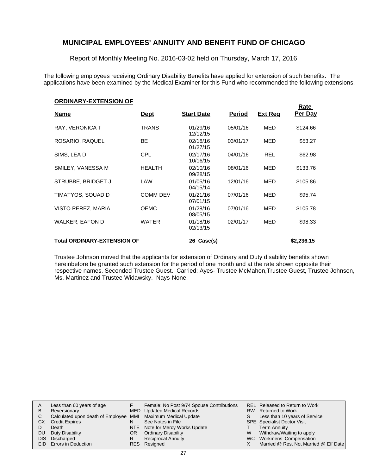Report of Monthly Meeting No. 2016-03-02 held on Thursday, March 17, 2016

The following employees receiving Ordinary Disability Benefits have applied for extension of such benefits. The applications have been examined by the Medical Examiner for this Fund who recommended the following extensions.

| <b>ORDINARY-EXTENSION OF</b>       |                 |                      |               |                | <b>Rate</b> |
|------------------------------------|-----------------|----------------------|---------------|----------------|-------------|
| <u>Name</u>                        | <u>Dept</u>     | <b>Start Date</b>    | <b>Period</b> | <u>Ext Req</u> | Per Day     |
| RAY, VERONICA T                    | <b>TRANS</b>    | 01/29/16<br>12/12/15 | 05/01/16      | MED            | \$124.66    |
| ROSARIO, RAQUEL                    | <b>BE</b>       | 02/18/16<br>01/27/15 | 03/01/17      | MED            | \$53.27     |
| SIMS, LEAD                         | <b>CPL</b>      | 02/17/16<br>10/16/15 | 04/01/16      | <b>REL</b>     | \$62.98     |
| SMILEY, VANESSA M                  | <b>HEALTH</b>   | 02/10/16<br>09/28/15 | 08/01/16      | MED            | \$133.76    |
| STRUBBE, BRIDGET J                 | LAW             | 01/05/16<br>04/15/14 | 12/01/16      | MED            | \$105.86    |
| TIMATYOS, SOUAD D                  | <b>COMM DEV</b> | 01/21/16<br>07/01/15 | 07/01/16      | MED            | \$95.74     |
| VISTO PEREZ, MARIA                 | <b>OEMC</b>     | 01/28/16<br>08/05/15 | 07/01/16      | <b>MED</b>     | \$105.78    |
| <b>WALKER, EAFON D</b>             | <b>WATER</b>    | 01/18/16<br>02/13/15 | 02/01/17      | MED            | \$98.33     |
| <b>Total ORDINARY-EXTENSION OF</b> |                 | 26 Case(s)           |               |                | \$2,236.15  |

Trustee Johnson moved that the applicants for extension of Ordinary and Duty disability benefits shown hereinbefore be granted such extension for the period of one month and at the rate shown opposite their respective names. Seconded Trustee Guest. Carried: Ayes- Trustee McMahon,Trustee Guest, Trustee Johnson, Ms. Martinez and Trustee Widawsky. Nays-None.

|           | Less than 60 years of age                                    |     | Female: No Post 9/74 Spouse Contributions |    | REL Released to Return to Work        |
|-----------|--------------------------------------------------------------|-----|-------------------------------------------|----|---------------------------------------|
| B         | Reversionary                                                 |     | <b>MED</b> Updated Medical Records        |    | RW Returned to Work                   |
|           | Calculated upon death of Employee MMI Maximum Medical Update |     |                                           | S. | Less than 10 years of Service         |
| <b>CX</b> | <b>Credit Expires</b>                                        |     | See Notes in File                         |    | <b>SPE</b> Specialist Doctor Visit    |
|           | Death                                                        |     | NTE Note for Mercy Works Update           |    | Term Annuity                          |
| DU        | Duty Disability                                              | OR. | <b>Ordinary Disability</b>                | W  | Withdraw/Waiting to apply             |
|           | DIS Discharged                                               |     | <b>Reciprocal Annuity</b>                 |    | WC Workmens' Compensation             |
|           | EID Errors in Deduction                                      |     | RES Resigned                              |    | Married @ Res, Not Married @ Eff Date |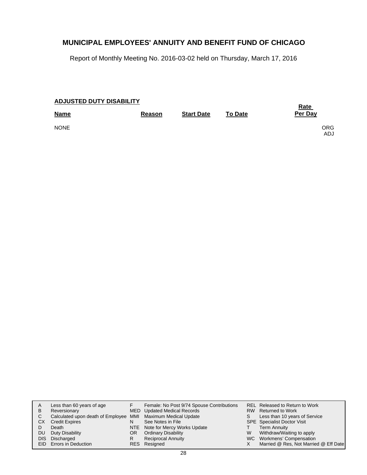Report of Monthly Meeting No. 2016-03-02 held on Thursday, March 17, 2016

### **Start Date Reason To Date Name Per Day ADJUSTED DUTY DISABILITY Rate**  NONE CONTRACT ON A SERVICE OF SALE OF SALE ORGANIZATION CONTRACT ON A SERVICE OF SALE OF SALE OF SALE OF SALE ADJ

| B           | Less than 60 years of age<br>Reversionary                                                      |         | Female: No Post 9/74 Spouse Contributions<br>MED Updated Medical Records | S | REL Released to Return to Work<br>RW Returned to Work                                           |
|-------------|------------------------------------------------------------------------------------------------|---------|--------------------------------------------------------------------------|---|-------------------------------------------------------------------------------------------------|
| СX          | Calculated upon death of Employee MMI Maximum Medical Update<br><b>Credit Expires</b><br>Death | N       | See Notes in File<br>NTE Note for Mercy Works Update                     |   | Less than 10 years of Service<br><b>SPE</b> Specialist Doctor Visit<br>Term Annuity             |
| DU.<br>DIS. | Duty Disability<br>Discharged<br>EID Errors in Deduction                                       | OR<br>R | <b>Ordinary Disability</b><br><b>Reciprocal Annuity</b><br>RES Resigned  | W | Withdraw/Waiting to apply<br>WC Workmens' Compensation<br>Married @ Res, Not Married @ Eff Date |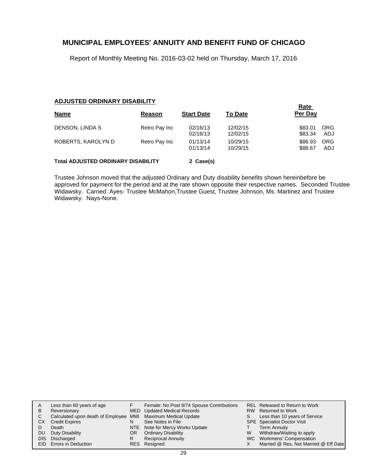Report of Monthly Meeting No. 2016-03-02 held on Thursday, March 17, 2016

#### **ADJUSTED ORDINARY DISABILITY**

|                                           | <b>Rate</b>   |                      |                      |                    |                   |
|-------------------------------------------|---------------|----------------------|----------------------|--------------------|-------------------|
| <b>Name</b>                               | Reason        | <b>Start Date</b>    | <b>To Date</b>       | Per Day            |                   |
| DENSON, LINDA S                           | Retro Pay Inc | 02/16/13<br>02/16/13 | 12/02/15<br>12/02/15 | \$83.01<br>\$83.34 | <b>ORG</b><br>ADJ |
| ROBERTS, KAROLYN D                        | Retro Pay Inc | 01/13/14<br>01/13/14 | 10/29/15<br>10/29/15 | \$86.93<br>\$88.67 | <b>ORG</b><br>ADJ |
| <b>Total ADJUSTED ORDINARY DISABILITY</b> | 2 Case(s)     |                      |                      |                    |                   |

Trustee Johnson moved that the adjusted Ordinary and Duty disability benefits shown hereinbefore be approved for payment for the period and at the rate shown opposite their respective names. Seconded Trustee Widawsky. Carried: Ayes- Trustee McMahon,Trustee Guest, Trustee Johnson, Ms. Martinez and Trustee Widawsky. Nays-None.

| Α    | Less than 60 years of age                                    |    | Female: No Post 9/74 Spouse Contributions |   | REL Released to Return to Work        |
|------|--------------------------------------------------------------|----|-------------------------------------------|---|---------------------------------------|
|      |                                                              |    |                                           |   |                                       |
| В    | Reversionary                                                 |    | MED Updated Medical Records               |   | RW Returned to Work                   |
|      | Calculated upon death of Employee MMI Maximum Medical Update |    |                                           | S | Less than 10 years of Service         |
| СX   | <b>Credit Expires</b>                                        | N  | See Notes in File                         |   | <b>SPE</b> Specialist Doctor Visit    |
|      | Death                                                        |    | NTE Note for Mercy Works Update           |   | <b>Term Annuity</b>                   |
| DU   | Duty Disability                                              | OR | <b>Ordinary Disability</b>                | W | Withdraw/Waiting to apply             |
| DIS. | Discharged                                                   |    | <b>Reciprocal Annuity</b>                 |   | WC Workmens' Compensation             |
|      | <b>EID</b> Errors in Deduction                               |    | RES Resigned                              |   | Married @ Res, Not Married @ Eff Date |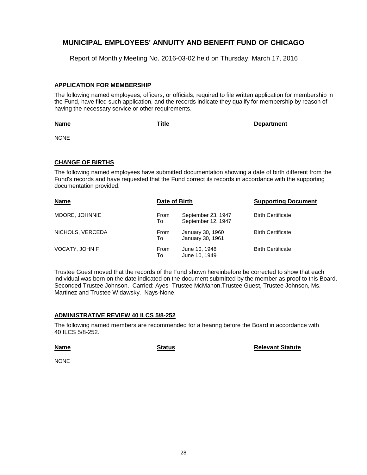Report of Monthly Meeting No. 2016-03-02 held on Thursday, March 17, 2016

### **APPLICATION FOR MEMBERSHIP**

The following named employees, officers, or officials, required to file written application for membership in the Fund, have filed such application, and the records indicate they qualify for membership by reason of having the necessary service or other requirements.

#### **Name**

**Title Department**

NONE

### **CHANGE OF BIRTHS**

The following named employees have submitted documentation showing a date of birth different from the Fund's records and have requested that the Fund correct its records in accordance with the supporting documentation provided.

| <b>Name</b>      | Date of Birth     |                                          | <b>Supporting Document</b> |
|------------------|-------------------|------------------------------------------|----------------------------|
| MOORE, JOHNNIE   | <b>From</b><br>To | September 23, 1947<br>September 12, 1947 | <b>Birth Certificate</b>   |
| NICHOLS, VERCEDA | <b>From</b><br>To | January 30, 1960<br>January 30, 1961     | <b>Birth Certificate</b>   |
| VOCATY, JOHN F   | From<br>To        | June 10, 1948<br>June 10, 1949           | <b>Birth Certificate</b>   |

Trustee Guest moved that the records of the Fund shown hereinbefore be corrected to show that each individual was born on the date indicated on the document submitted by the member as proof to this Board. Seconded Trustee Johnson. Carried: Ayes- Trustee McMahon,Trustee Guest, Trustee Johnson, Ms. Martinez and Trustee Widawsky. Nays-None.

### **ADMINISTRATIVE REVIEW 40 ILCS 5/8-252**

The following named members are recommended for a hearing before the Board in accordance with 40 ILCS 5/8-252.

**Name**

**Status Relevant Statute** 

NONE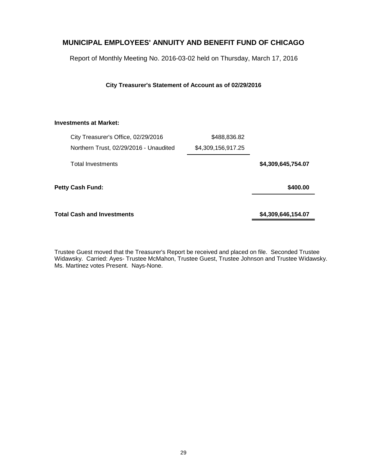Report of Monthly Meeting No. 2016-03-02 held on Thursday, March 17, 2016

**City Treasurer's Statement of Account as of 02/29/2016**

#### **Investments at Market:**

| City Treasurer's Office, 02/29/2016    | \$488,836.82       |                    |
|----------------------------------------|--------------------|--------------------|
| Northern Trust, 02/29/2016 - Unaudited | \$4,309,156,917.25 |                    |
| <b>Total Investments</b>               |                    | \$4,309,645,754.07 |
| <b>Petty Cash Fund:</b>                |                    | \$400.00           |
| <b>Total Cash and Investments</b>      |                    | \$4,309,646,154.07 |

Trustee Guest moved that the Treasurer's Report be received and placed on file. Seconded Trustee Widawsky. Carried: Ayes- Trustee McMahon, Trustee Guest, Trustee Johnson and Trustee Widawsky. Ms. Martinez votes Present. Nays-None.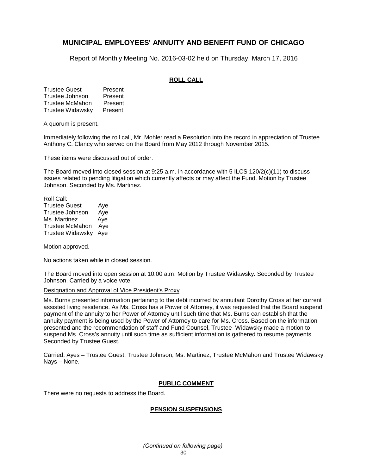Report of Monthly Meeting No. 2016-03-02 held on Thursday, March 17, 2016

### **ROLL CALL**

Trustee Guest Present Trustee Johnson Present Trustee McMahon Present Trustee Widawsky Present

A quorum is present.

Immediately following the roll call, Mr. Mohler read a Resolution into the record in appreciation of Trustee Anthony C. Clancy who served on the Board from May 2012 through November 2015.

These items were discussed out of order.

The Board moved into closed session at 9:25 a.m. in accordance with 5 ILCS 120/2(c)(11) to discuss issues related to pending litigation which currently affects or may affect the Fund. Motion by Trustee Johnson. Seconded by Ms. Martinez.

Roll Call: Trustee Guest Aye Trustee Johnson Aye Ms. Martinez Aye Trustee McMahon Aye Trustee Widawsky Aye

Motion approved.

No actions taken while in closed session.

The Board moved into open session at 10:00 a.m. Motion by Trustee Widawsky. Seconded by Trustee Johnson. Carried by a voice vote.

#### Designation and Approval of Vice President's Proxy

Ms. Burns presented information pertaining to the debt incurred by annuitant Dorothy Cross at her current assisted living residence. As Ms. Cross has a Power of Attorney, it was requested that the Board suspend payment of the annuity to her Power of Attorney until such time that Ms. Burns can establish that the annuity payment is being used by the Power of Attorney to care for Ms. Cross. Based on the information presented and the recommendation of staff and Fund Counsel, Trustee Widawsky made a motion to suspend Ms. Cross's annuity until such time as sufficient information is gathered to resume payments. Seconded by Trustee Guest.

Carried: Ayes – Trustee Guest, Trustee Johnson, Ms. Martinez, Trustee McMahon and Trustee Widawsky. Nays – None.

#### **PUBLIC COMMENT**

There were no requests to address the Board.

#### **PENSION SUSPENSIONS**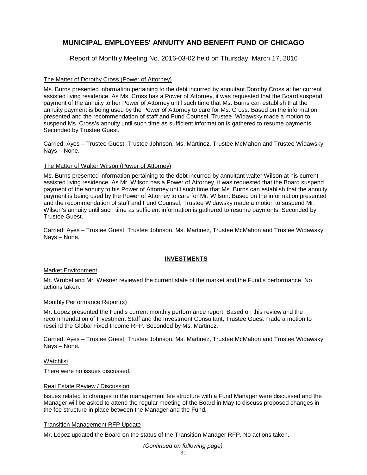Report of Monthly Meeting No. 2016-03-02 held on Thursday, March 17, 2016

### The Matter of Dorothy Cross (Power of Attorney)

Ms. Burns presented information pertaining to the debt incurred by annuitant Dorothy Cross at her current assisted living residence. As Ms. Cross has a Power of Attorney, it was requested that the Board suspend payment of the annuity to her Power of Attorney until such time that Ms. Burns can establish that the annuity payment is being used by the Power of Attorney to care for Ms. Cross. Based on the information presented and the recommendation of staff and Fund Counsel, Trustee Widawsky made a motion to suspend Ms. Cross's annuity until such time as sufficient information is gathered to resume payments. Seconded by Trustee Guest.

Carried: Ayes – Trustee Guest, Trustee Johnson, Ms. Martinez, Trustee McMahon and Trustee Widawsky. Nays – None.

#### The Matter of Walter Wilson (Power of Attorney)

Ms. Burns presented information pertaining to the debt incurred by annuitant walter Wilson at his current assisted living residence. As Mr. Wilson has a Power of Attorney, it was requested that the Board suspend payment of the annuity to his Power of Attorney until such time that Ms. Burns can establish that the annuity payment is being used by the Power of Attorney to care for Mr. Wilson. Based on the information presented and the recommendation of staff and Fund Counsel, Trustee Widawsky made a motion to suspend Mr. Wilson's annuity until such time as sufficient information is gathered to resume payments. Seconded by Trustee Guest.

Carried: Ayes – Trustee Guest, Trustee Johnson, Ms. Martinez, Trustee McMahon and Trustee Widawsky. Nays – None.

### **INVESTMENTS**

#### Market Environment

Mr. Wrubel and Mr. Wesner reviewed the current state of the market and the Fund's performance. No actions taken.

#### Monthly Performance Report(s)

Mr. Lopez presented the Fund's current monthly performance report. Based on this review and the recommendation of Investment Staff and the Investment Consultant, Trustee Guest made a motion to rescind the Global Fixed Income RFP. Seconded by Ms. Martinez.

Carried: Ayes – Trustee Guest, Trustee Johnson, Ms. Martinez, Trustee McMahon and Trustee Widawsky. Nays – None.

#### Watchlist

There were no issues discussed.

#### Real Estate Review / Discussion

Issues related to changes to the management fee structure with a Fund Manager were discussed and the Manager will be asked to attend the regular meeting of the Board in May to discuss proposed changes in the fee structure in place between the Manager and the Fund.

#### Transition Management RFP Update

Mr. Lopez updated the Board on the status of the Transition Manager RFP. No actions taken.

31 *(Continued on following page)*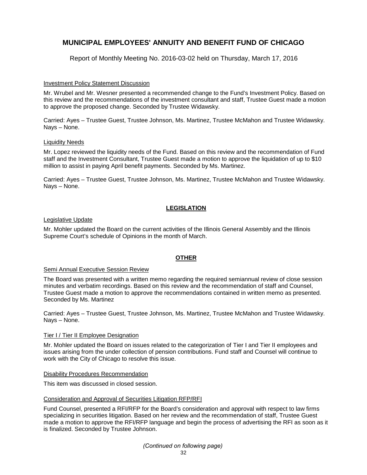Report of Monthly Meeting No. 2016-03-02 held on Thursday, March 17, 2016

#### Investment Policy Statement Discussion

Mr. Wrubel and Mr. Wesner presented a recommended change to the Fund's Investment Policy. Based on this review and the recommendations of the investment consultant and staff, Trustee Guest made a motion to approve the proposed change. Seconded by Trustee Widawsky.

Carried: Ayes – Trustee Guest, Trustee Johnson, Ms. Martinez, Trustee McMahon and Trustee Widawsky. Nays – None.

#### Liquidity Needs

Mr. Lopez reviewed the liquidity needs of the Fund. Based on this review and the recommendation of Fund staff and the Investment Consultant, Trustee Guest made a motion to approve the liquidation of up to \$10 million to assist in paying April benefit payments. Seconded by Ms. Martinez.

Carried: Ayes – Trustee Guest, Trustee Johnson, Ms. Martinez, Trustee McMahon and Trustee Widawsky. Nays – None.

### **LEGISLATION**

#### Legislative Update

Mr. Mohler updated the Board on the current activities of the Illinois General Assembly and the Illinois Supreme Court's schedule of Opinions in the month of March.

### **OTHER**

#### Semi Annual Executive Session Review

The Board was presented with a written memo regarding the required semiannual review of close session minutes and verbatim recordings. Based on this review and the recommendation of staff and Counsel, Trustee Guest made a motion to approve the recommendations contained in written memo as presented. Seconded by Ms. Martinez

Carried: Ayes – Trustee Guest, Trustee Johnson, Ms. Martinez, Trustee McMahon and Trustee Widawsky. Nays – None.

#### Tier I / Tier II Employee Designation

Mr. Mohler updated the Board on issues related to the categorization of Tier I and Tier II employees and issues arising from the under collection of pension contributions. Fund staff and Counsel will continue to work with the City of Chicago to resolve this issue.

#### Disability Procedures Recommendation

This item was discussed in closed session.

#### Consideration and Approval of Securities Litigation RFP/RFI

Fund Counsel, presented a RFI/RFP for the Board's consideration and approval with respect to law firms specializing in securities litigation. Based on her review and the recommendation of staff, Trustee Guest made a motion to approve the RFI/RFP language and begin the process of advertising the RFI as soon as it is finalized. Seconded by Trustee Johnson.